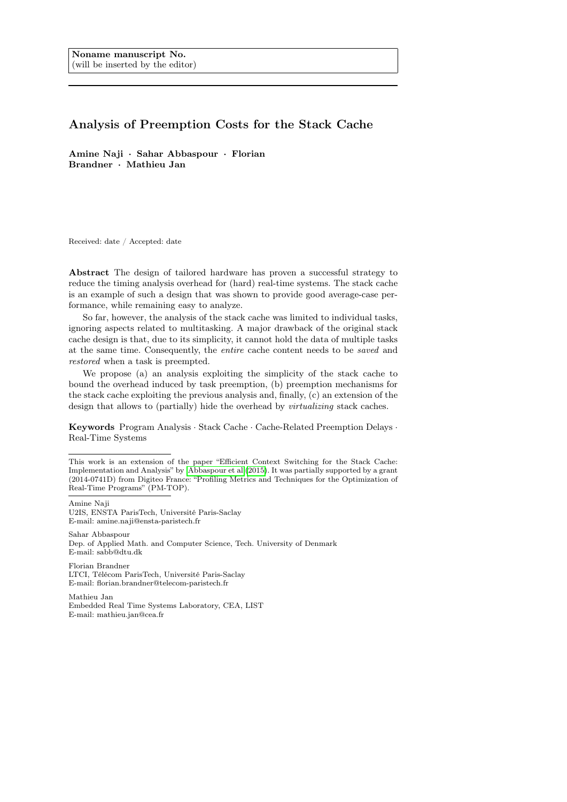# Analysis of Preemption Costs for the Stack Cache

Amine Naji · Sahar Abbaspour · Florian Brandner · Mathieu Jan

Received: date / Accepted: date

Abstract The design of tailored hardware has proven a successful strategy to reduce the timing analysis overhead for (hard) real-time systems. The stack cache is an example of such a design that was shown to provide good average-case performance, while remaining easy to analyze.

So far, however, the analysis of the stack cache was limited to individual tasks, ignoring aspects related to multitasking. A major drawback of the original stack cache design is that, due to its simplicity, it cannot hold the data of multiple tasks at the same time. Consequently, the entire cache content needs to be saved and restored when a task is preempted.

We propose (a) an analysis exploiting the simplicity of the stack cache to bound the overhead induced by task preemption, (b) preemption mechanisms for the stack cache exploiting the previous analysis and, finally, (c) an extension of the design that allows to (partially) hide the overhead by virtualizing stack caches.

Keywords Program Analysis · Stack Cache · Cache-Related Preemption Delays · Real-Time Systems

Amine Naji U2IS, ENSTA ParisTech, Université Paris-Saclay E-mail: amine.naji@ensta-paristech.fr

Sahar Abbaspour Dep. of Applied Math. and Computer Science, Tech. University of Denmark E-mail: sabb@dtu.dk

Florian Brandner LTCI, Télécom ParisTech, Université Paris-Saclay E-mail: florian.brandner@telecom-paristech.fr

Mathieu Jan Embedded Real Time Systems Laboratory, CEA, LIST E-mail: mathieu.jan@cea.fr

This work is an extension of the paper "Efficient Context Switching for the Stack Cache: Implementation and Analysis" by [Abbaspour et al](#page-40-0) [\(2015\)](#page-40-0). It was partially supported by a grant (2014-0741D) from Digiteo France: "Profiling Metrics and Techniques for the Optimization of Real-Time Programs" (PM-TOP).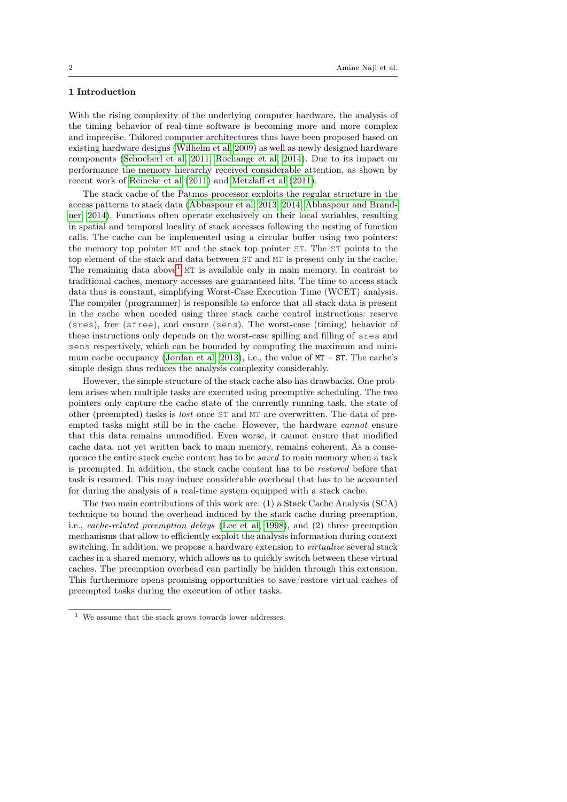# 1 Introduction

With the rising complexity of the underlying computer hardware, the analysis of the timing behavior of real-time software is becoming more and more complex and imprecise. Tailored computer architectures thus have been proposed based on existing hardware designs [\(Wilhelm et al, 2009\)](#page-41-0) as well as newly designed hardware components [\(Schoeberl et al, 2011;](#page-41-1) [Rochange et al, 2014\)](#page-41-2). Due to its impact on performance the memory hierarchy received considerable attention, as shown by recent work of [Reineke et al](#page-41-3) [\(2011\)](#page-41-3) and [Metzlaff et al](#page-41-4) [\(2011\)](#page-41-4).

The stack cache of the Patmos processor exploits the regular structure in the access patterns to stack data [\(Abbaspour et al, 2013,](#page-40-1) [2014,](#page-40-2) [Abbaspour and Brand](#page-40-3)[ner, 2014\)](#page-40-3). Functions often operate exclusively on their local variables, resulting in spatial and temporal locality of stack accesses following the nesting of function calls. The cache can be implemented using a circular buffer using two pointers: the memory top pointer MT and the stack top pointer ST. The ST points to the top element of the stack and data between ST and MT is present only in the cache. The remaining data above  $^1$  $^1$  MT is available only in main memory. In contrast to traditional caches, memory accesses are guaranteed hits. The time to access stack data thus is constant, simplifying Worst-Case Execution Time (WCET) analysis. The compiler (programmer) is responsible to enforce that all stack data is present in the cache when needed using three stack cache control instructions: reserve (sres), free (sfree), and ensure (sens). The worst-case (timing) behavior of these instructions only depends on the worst-case spilling and filling of sres and sens respectively, which can be bounded by computing the maximum and minimum cache occupancy [\(Jordan et al, 2013\)](#page-40-4), i.e., the value of MT − ST. The cache's simple design thus reduces the analysis complexity considerably.

However, the simple structure of the stack cache also has drawbacks. One problem arises when multiple tasks are executed using preemptive scheduling. The two pointers only capture the cache state of the currently running task, the state of other (preempted) tasks is lost once ST and MT are overwritten. The data of preempted tasks might still be in the cache. However, the hardware cannot ensure that this data remains unmodified. Even worse, it cannot ensure that modified cache data, not yet written back to main memory, remains coherent. As a consequence the entire stack cache content has to be saved to main memory when a task is preempted. In addition, the stack cache content has to be restored before that task is resumed. This may induce considerable overhead that has to be accounted for during the analysis of a real-time system equipped with a stack cache.

The two main contributions of this work are: (1) a Stack Cache Analysis (SCA) technique to bound the overhead induced by the stack cache during preemption, i.e., cache-related preemption delays [\(Lee et al, 1998\)](#page-40-5), and (2) three preemption mechanisms that allow to efficiently exploit the analysis information during context switching. In addition, we propose a hardware extension to *virtualize* several stack caches in a shared memory, which allows us to quickly switch between these virtual caches. The preemption overhead can partially be hidden through this extension. This furthermore opens promising opportunities to save/restore virtual caches of preempted tasks during the execution of other tasks.

<span id="page-1-0"></span><sup>1</sup> We assume that the stack grows towards lower addresses.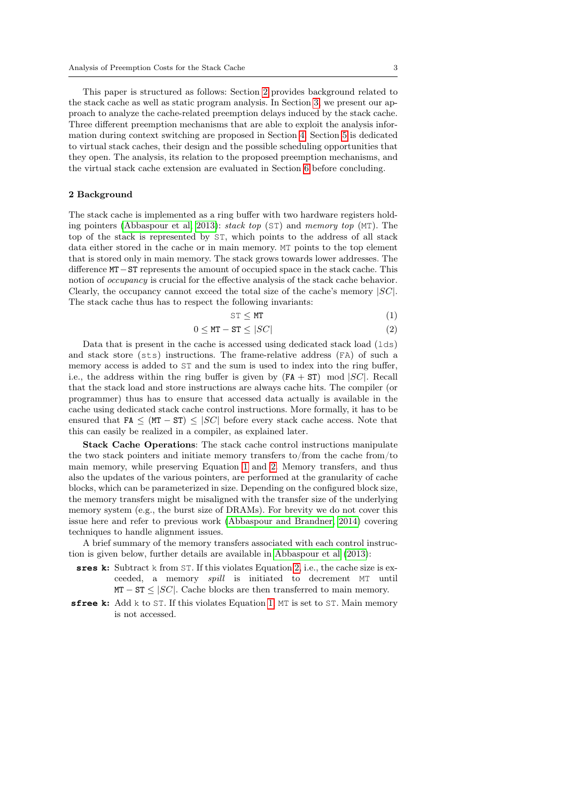This paper is structured as follows: Section [2](#page-2-0) provides background related to the stack cache as well as static program analysis. In Section [3,](#page-6-0) we present our approach to analyze the cache-related preemption delays induced by the stack cache. Three different preemption mechanisms that are able to exploit the analysis information during context switching are proposed in Section [4.](#page-23-0) Section [5](#page-28-0) is dedicated to virtual stack caches, their design and the possible scheduling opportunities that they open. The analysis, its relation to the proposed preemption mechanisms, and the virtual stack cache extension are evaluated in Section [6](#page-30-0) before concluding.

### <span id="page-2-0"></span>2 Background

The stack cache is implemented as a ring buffer with two hardware registers hold-ing pointers [\(Abbaspour et al, 2013\)](#page-40-1): stack top (ST) and memory top (MT). The top of the stack is represented by ST, which points to the address of all stack data either stored in the cache or in main memory. MT points to the top element that is stored only in main memory. The stack grows towards lower addresses. The difference MT−ST represents the amount of occupied space in the stack cache. This notion of *occupancy* is crucial for the effective analysis of the stack cache behavior. Clearly, the occupancy cannot exceed the total size of the cache's memory  $|SC|$ . The stack cache thus has to respect the following invariants:

<span id="page-2-2"></span><span id="page-2-1"></span>
$$
ST \le MT \tag{1}
$$

$$
0 \le \text{MT} - \text{ST} \le |SC| \tag{2}
$$

Data that is present in the cache is accessed using dedicated stack load (1ds) and stack store (sts) instructions. The frame-relative address (FA) of such a memory access is added to ST and the sum is used to index into the ring buffer, i.e., the address within the ring buffer is given by  $(FA + ST) \mod |SC|$ . Recall that the stack load and store instructions are always cache hits. The compiler (or programmer) thus has to ensure that accessed data actually is available in the cache using dedicated stack cache control instructions. More formally, it has to be ensured that  $FA \leq (MT - ST) \leq |SC|$  before every stack cache access. Note that this can easily be realized in a compiler, as explained later.

Stack Cache Operations: The stack cache control instructions manipulate the two stack pointers and initiate memory transfers to/from the cache from/to main memory, while preserving Equation [1](#page-2-1) and [2.](#page-2-2) Memory transfers, and thus also the updates of the various pointers, are performed at the granularity of cache blocks, which can be parameterized in size. Depending on the configured block size, the memory transfers might be misaligned with the transfer size of the underlying memory system (e.g., the burst size of DRAMs). For brevity we do not cover this issue here and refer to previous work [\(Abbaspour and Brandner, 2014\)](#page-40-3) covering techniques to handle alignment issues.

A brief summary of the memory transfers associated with each control instruction is given below, further details are available in [Abbaspour et al](#page-40-1) [\(2013\)](#page-40-1):

- **sres k**: Subtract k from ST. If this violates Equation [2,](#page-2-2) i.e., the cache size is exceeded, a memory spill is initiated to decrement MT until  $MT - ST \leq |SC|$ . Cache blocks are then transferred to main memory.
- **sfree k**: Add k to ST. If this violates Equation [1,](#page-2-1) MT is set to ST. Main memory is not accessed.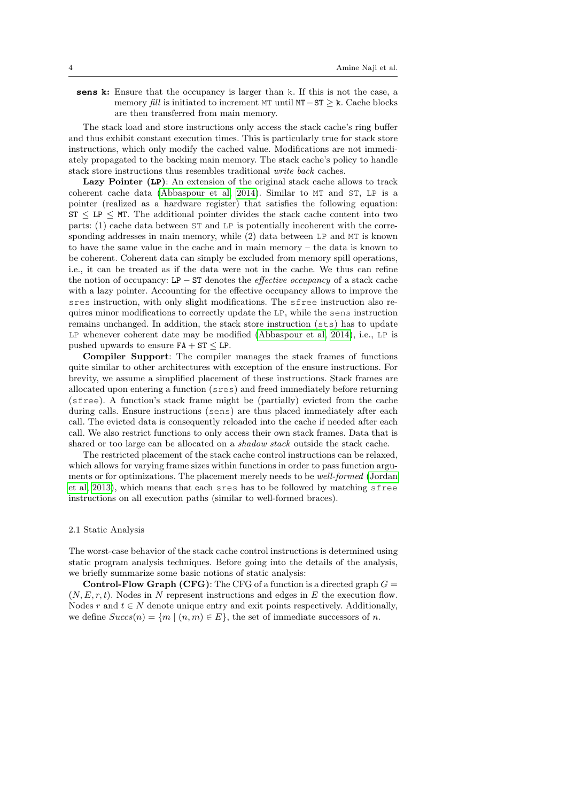**sens k**: Ensure that the occupancy is larger than k. If this is not the case, a memory fill is initiated to increment MT until  $MT - ST \geq k$ . Cache blocks are then transferred from main memory.

The stack load and store instructions only access the stack cache's ring buffer and thus exhibit constant execution times. This is particularly true for stack store instructions, which only modify the cached value. Modifications are not immediately propagated to the backing main memory. The stack cache's policy to handle stack store instructions thus resembles traditional write back caches.

Lazy Pointer (LP): An extension of the original stack cache allows to track coherent cache data [\(Abbaspour et al, 2014\)](#page-40-2). Similar to MT and ST, LP is a pointer (realized as a hardware register) that satisfies the following equation:  $ST \le LP \le MT$ . The additional pointer divides the stack cache content into two parts: (1) cache data between ST and LP is potentially incoherent with the corresponding addresses in main memory, while (2) data between LP and MT is known to have the same value in the cache and in main memory – the data is known to be coherent. Coherent data can simply be excluded from memory spill operations, i.e., it can be treated as if the data were not in the cache. We thus can refine the notion of occupancy: LP  $-$  ST denotes the *effective occupancy* of a stack cache with a lazy pointer. Accounting for the effective occupancy allows to improve the sres instruction, with only slight modifications. The sfree instruction also requires minor modifications to correctly update the LP, while the sens instruction remains unchanged. In addition, the stack store instruction (sts) has to update LP whenever coherent date may be modified [\(Abbaspour et al, 2014\)](#page-40-2), i.e., LP is pushed upwards to ensure  $FA + ST \le LP$ .

Compiler Support: The compiler manages the stack frames of functions quite similar to other architectures with exception of the ensure instructions. For brevity, we assume a simplified placement of these instructions. Stack frames are allocated upon entering a function (sres) and freed immediately before returning (sfree). A function's stack frame might be (partially) evicted from the cache during calls. Ensure instructions (sens) are thus placed immediately after each call. The evicted data is consequently reloaded into the cache if needed after each call. We also restrict functions to only access their own stack frames. Data that is shared or too large can be allocated on a shadow stack outside the stack cache.

The restricted placement of the stack cache control instructions can be relaxed, which allows for varying frame sizes within functions in order to pass function arguments or for optimizations. The placement merely needs to be well-formed [\(Jordan](#page-40-4) [et al, 2013\)](#page-40-4), which means that each sres has to be followed by matching sfree instructions on all execution paths (similar to well-formed braces).

### 2.1 Static Analysis

The worst-case behavior of the stack cache control instructions is determined using static program analysis techniques. Before going into the details of the analysis, we briefly summarize some basic notions of static analysis:

**Control-Flow Graph (CFG)**: The CFG of a function is a directed graph  $G =$  $(N, E, r, t)$ . Nodes in N represent instructions and edges in E the execution flow. Nodes r and  $t \in N$  denote unique entry and exit points respectively. Additionally, we define  $Succs(n) = \{m \mid (n, m) \in E\}$ , the set of immediate successors of n.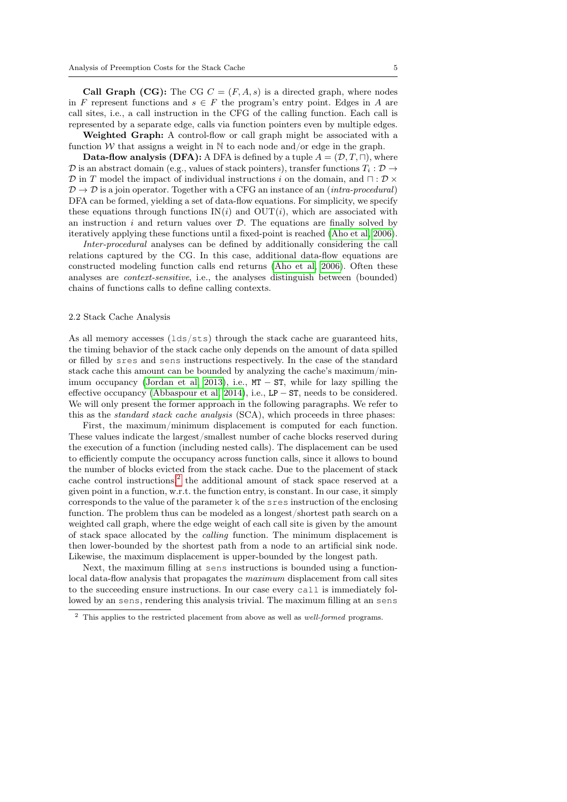**Call Graph (CG):** The CG  $C = (F, A, s)$  is a directed graph, where nodes in F represent functions and  $s \in F$  the program's entry point. Edges in A are call sites, i.e., a call instruction in the CFG of the calling function. Each call is represented by a separate edge, calls via function pointers even by multiple edges.

Weighted Graph: A control-flow or call graph might be associated with a function W that assigns a weight in  $\mathbb N$  to each node and/or edge in the graph.

**Data-flow analysis (DFA):** A DFA is defined by a tuple  $A = (\mathcal{D}, T, \Box)$ , where D is an abstract domain (e.g., values of stack pointers), transfer functions  $T_i : \mathcal{D} \to$ D in T model the impact of individual instructions i on the domain, and  $\Box : \mathcal{D} \times$  $\mathcal{D} \to \mathcal{D}$  is a join operator. Together with a CFG an instance of an (*intra-procedural*) DFA can be formed, yielding a set of data-flow equations. For simplicity, we specify these equations through functions  $IN(i)$  and  $OUT(i)$ , which are associated with an instruction  $i$  and return values over  $D$ . The equations are finally solved by iteratively applying these functions until a fixed-point is reached [\(Aho et al, 2006\)](#page-40-6).

Inter-procedural analyses can be defined by additionally considering the call relations captured by the CG. In this case, additional data-flow equations are constructed modeling function calls end returns [\(Aho et al, 2006\)](#page-40-6). Often these analyses are context-sensitive, i.e., the analyses distinguish between (bounded) chains of functions calls to define calling contexts.

#### 2.2 Stack Cache Analysis

As all memory accesses  $(\text{lds}/\text{sts})$  through the stack cache are guaranteed hits, the timing behavior of the stack cache only depends on the amount of data spilled or filled by sres and sens instructions respectively. In the case of the standard stack cache this amount can be bounded by analyzing the cache's maximum/min-imum occupancy [\(Jordan et al, 2013\)](#page-40-4), i.e.,  $MT - ST$ , while for lazy spilling the effective occupancy [\(Abbaspour et al, 2014\)](#page-40-2), i.e., LP − ST, needs to be considered. We will only present the former approach in the following paragraphs. We refer to this as the *standard stack cache analysis* (SCA), which proceeds in three phases:

First, the maximum/minimum displacement is computed for each function. These values indicate the largest/smallest number of cache blocks reserved during the execution of a function (including nested calls). The displacement can be used to efficiently compute the occupancy across function calls, since it allows to bound the number of blocks evicted from the stack cache. Due to the placement of stack cache control instructions,<sup>[2](#page-4-0)</sup> the additional amount of stack space reserved at a given point in a function, w.r.t. the function entry, is constant. In our case, it simply corresponds to the value of the parameter k of the sres instruction of the enclosing function. The problem thus can be modeled as a longest/shortest path search on a weighted call graph, where the edge weight of each call site is given by the amount of stack space allocated by the calling function. The minimum displacement is then lower-bounded by the shortest path from a node to an artificial sink node. Likewise, the maximum displacement is upper-bounded by the longest path.

Next, the maximum filling at sens instructions is bounded using a functionlocal data-flow analysis that propagates the maximum displacement from call sites to the succeeding ensure instructions. In our case every call is immediately followed by an sens, rendering this analysis trivial. The maximum filling at an sens

<span id="page-4-0"></span> $2$  This applies to the restricted placement from above as well as *well-formed* programs.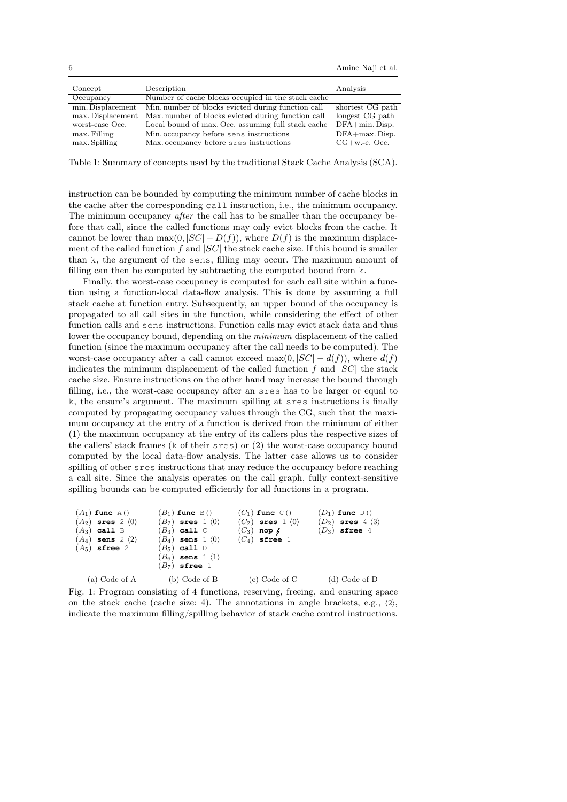|  | Amine Naii et al. |
|--|-------------------|

<span id="page-5-1"></span>

| Concept           | Description                                        | Analysis           |
|-------------------|----------------------------------------------------|--------------------|
| Occupancy         | Number of cache blocks occupied in the stack cache |                    |
| min. Displacement | Min. number of blocks evicted during function call | shortest CG path   |
| max. Displacement | Max. number of blocks evicted during function call | longest CG path    |
| worst-case Occ.   | Local bound of max. Occ. assuming full stack cache | $DFA + min.$ Disp. |
| max. Filling      | Min. occupancy before sens instructions            | $DFA + max.$ Disp. |
| max. Spilling     | Max. occupancy before sres instructions            | $CG+w.-c.$ Occ.    |

Table 1: Summary of concepts used by the traditional Stack Cache Analysis (SCA).

instruction can be bounded by computing the minimum number of cache blocks in the cache after the corresponding call instruction, i.e., the minimum occupancy. The minimum occupancy *after* the call has to be smaller than the occupancy before that call, since the called functions may only evict blocks from the cache. It cannot be lower than  $\max(0, |SC| - D(f))$ , where  $D(f)$  is the maximum displacement of the called function  $f$  and  $|SC|$  the stack cache size. If this bound is smaller than k, the argument of the sens, filling may occur. The maximum amount of filling can then be computed by subtracting the computed bound from k.

Finally, the worst-case occupancy is computed for each call site within a function using a function-local data-flow analysis. This is done by assuming a full stack cache at function entry. Subsequently, an upper bound of the occupancy is propagated to all call sites in the function, while considering the effect of other function calls and sens instructions. Function calls may evict stack data and thus lower the occupancy bound, depending on the *minimum* displacement of the called function (since the maximum occupancy after the call needs to be computed). The worst-case occupancy after a call cannot exceed max $(0, |SC| - d(f))$ , where  $d(f)$ indicates the minimum displacement of the called function f and  $|SC|$  the stack cache size. Ensure instructions on the other hand may increase the bound through filling, i.e., the worst-case occupancy after an sres has to be larger or equal to k, the ensure's argument. The maximum spilling at sres instructions is finally computed by propagating occupancy values through the CG, such that the maximum occupancy at the entry of a function is derived from the minimum of either (1) the maximum occupancy at the entry of its callers plus the respective sizes of the callers' stack frames (k of their sres) or (2) the worst-case occupancy bound computed by the local data-flow analysis. The latter case allows us to consider spilling of other sres instructions that may reduce the occupancy before reaching a call site. Since the analysis operates on the call graph, fully context-sensitive spilling bounds can be computed efficiently for all functions in a program.

<span id="page-5-0"></span>

| $(A_1)$ func $A()$                 | $(B_1)$ func $B()$                  | $(C_1)$ func $C()$                | $(D_1)$ func $D()$                 |
|------------------------------------|-------------------------------------|-----------------------------------|------------------------------------|
| $(A_2)$ sres 2 $\langle 0 \rangle$ | $(B_2)$ sres $1 \langle 0 \rangle$  | $(C_2)$ sres $1\langle 0 \rangle$ | $(D_2)$ sres $4 \langle 3 \rangle$ |
| $(A_3)$ call B                     | $(B_3)$ call $\subset$              | $(C_3)$ nop $\mathcal{G}$         | $(D_3)$ sfree 4                    |
| $(A_4)$ sens $2 \langle 2 \rangle$ | $(B_4)$ sens $1 \langle 0 \rangle$  | $(C_4)$ sfree 1                   |                                    |
| $(A_5)$ sfree 2                    | $(B_5)$ call D                      |                                   |                                    |
|                                    | $(B_6)$ sens $1\; \langle 1\rangle$ |                                   |                                    |
|                                    | $(B7)$ sfree 1                      |                                   |                                    |
| (a) Code of A                      | $(b)$ Code of B                     | $(c)$ Code of C                   | $(d)$ Code of D                    |

Fig. 1: Program consisting of 4 functions, reserving, freeing, and ensuring space on the stack cache (cache size: 4). The annotations in angle brackets, e.g.,  $\langle 2 \rangle$ , indicate the maximum filling/spilling behavior of stack cache control instructions.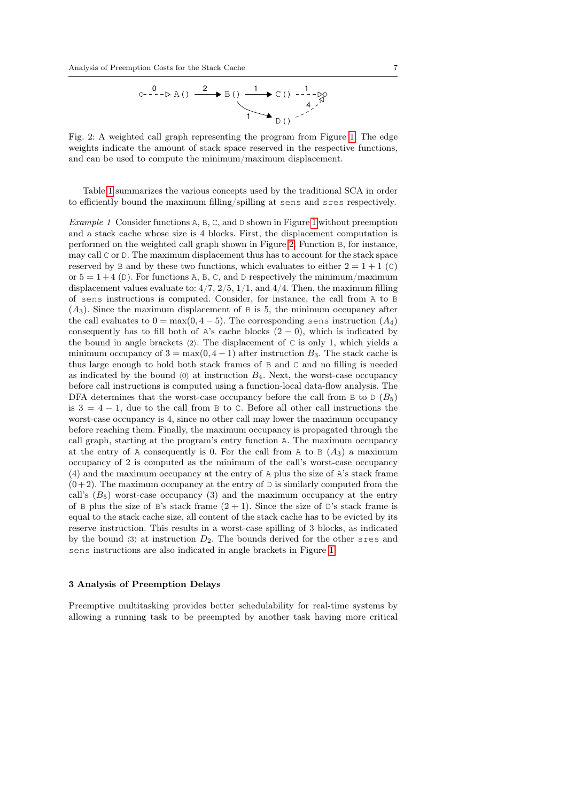$$
\circ \xrightarrow{0} A() \xrightarrow{2} B() \xrightarrow{1} C() \xrightarrow{-1} S) \xrightarrow{4} A
$$

<span id="page-6-1"></span>Fig. 2: A weighted call graph representing the program from Figure [1.](#page-5-0) The edge weights indicate the amount of stack space reserved in the respective functions, and can be used to compute the minimum/maximum displacement.

Table [1](#page-5-1) summarizes the various concepts used by the traditional SCA in order to efficiently bound the maximum filling/spilling at sens and sres respectively.

Example 1 Consider functions A, B, C, and D shown in Figure [1](#page-5-0) without preemption and a stack cache whose size is 4 blocks. First, the displacement computation is performed on the weighted call graph shown in Figure [2.](#page-6-1) Function B, for instance, may call C or D. The maximum displacement thus has to account for the stack space reserved by B and by these two functions, which evaluates to either  $2 = 1 + 1$  (C) or  $5 = 1 + 4$  (D). For functions A, B, C, and D respectively the minimum/maximum displacement values evaluate to:  $4/7$ ,  $2/5$ ,  $1/1$ , and  $4/4$ . Then, the maximum filling of sens instructions is computed. Consider, for instance, the call from A to B  $(A_3)$ . Since the maximum displacement of B is 5, the minimum occupancy after the call evaluates to  $0 = \max(0, 4 - 5)$ . The corresponding sens instruction  $(A_4)$ consequently has to fill both of A's cache blocks  $(2 - 0)$ , which is indicated by the bound in angle brackets  $(2)$ . The displacement of C is only 1, which yields a minimum occupancy of  $3 = max(0, 4 - 1)$  after instruction  $B_3$ . The stack cache is thus large enough to hold both stack frames of B and C and no filling is needed as indicated by the bound  $\langle 0 \rangle$  at instruction  $B_4$ . Next, the worst-case occupancy before call instructions is computed using a function-local data-flow analysis. The DFA determines that the worst-case occupancy before the call from B to D  $(B_5)$ is  $3 = 4 - 1$ , due to the call from B to C. Before all other call instructions the worst-case occupancy is 4, since no other call may lower the maximum occupancy before reaching them. Finally, the maximum occupancy is propagated through the call graph, starting at the program's entry function A. The maximum occupancy at the entry of A consequently is 0. For the call from A to B  $(A_3)$  a maximum occupancy of 2 is computed as the minimum of the call's worst-case occupancy (4) and the maximum occupancy at the entry of A plus the size of A's stack frame  $(0+2)$ . The maximum occupancy at the entry of D is similarly computed from the call's  $(B_5)$  worst-case occupancy (3) and the maximum occupancy at the entry of B plus the size of B's stack frame  $(2 + 1)$ . Since the size of D's stack frame is equal to the stack cache size, all content of the stack cache has to be evicted by its reserve instruction. This results in a worst-case spilling of 3 blocks, as indicated by the bound  $\langle 3 \rangle$  at instruction  $D_2$ . The bounds derived for the other sres and sens instructions are also indicated in angle brackets in Figure [1.](#page-5-0)

#### <span id="page-6-0"></span>3 Analysis of Preemption Delays

Preemptive multitasking provides better schedulability for real-time systems by allowing a running task to be preempted by another task having more critical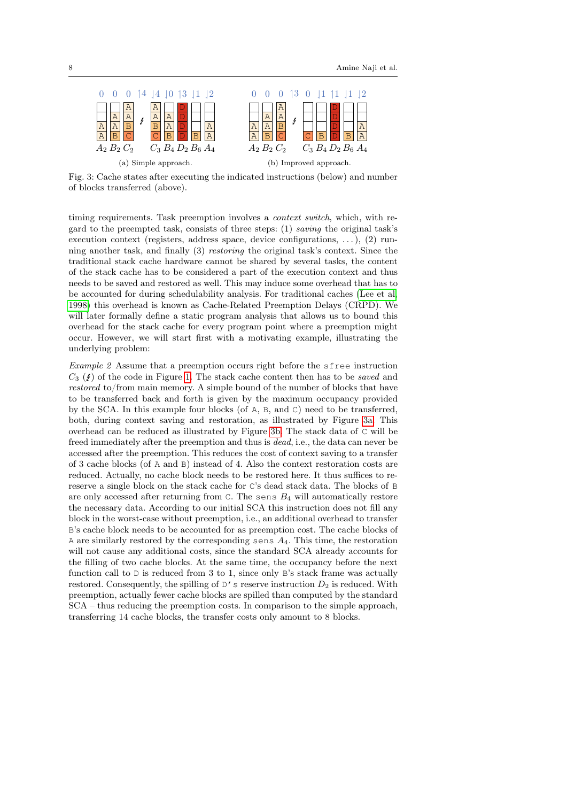<span id="page-7-1"></span>

<span id="page-7-0"></span>Fig. 3: Cache states after executing the indicated instructions (below) and number of blocks transferred (above).

timing requirements. Task preemption involves a *context switch*, which, with regard to the preempted task, consists of three steps: (1) saving the original task's execution context (registers, address space, device configurations, . . . ), (2) running another task, and finally (3) restoring the original task's context. Since the traditional stack cache hardware cannot be shared by several tasks, the content of the stack cache has to be considered a part of the execution context and thus needs to be saved and restored as well. This may induce some overhead that has to be accounted for during schedulability analysis. For traditional caches [\(Lee et al,](#page-40-5) [1998\)](#page-40-5) this overhead is known as Cache-Related Preemption Delays (CRPD). We will later formally define a static program analysis that allows us to bound this overhead for the stack cache for every program point where a preemption might occur. However, we will start first with a motivating example, illustrating the underlying problem:

<span id="page-7-2"></span>Example 2 Assume that a preemption occurs right before the sfree instruction  $C_3$  (f) of the code in Figure [1.](#page-5-0) The stack cache content then has to be saved and restored to/from main memory. A simple bound of the number of blocks that have to be transferred back and forth is given by the maximum occupancy provided by the SCA. In this example four blocks (of A, B, and C) need to be transferred, both, during context saving and restoration, as illustrated by Figure [3a.](#page-7-0) This overhead can be reduced as illustrated by Figure [3b.](#page-7-1) The stack data of C will be freed immediately after the preemption and thus is dead, i.e., the data can never be accessed after the preemption. This reduces the cost of context saving to a transfer of 3 cache blocks (of A and B) instead of 4. Also the context restoration costs are reduced. Actually, no cache block needs to be restored here. It thus suffices to rereserve a single block on the stack cache for C's dead stack data. The blocks of B are only accessed after returning from  $\mathbb C$ . The sens  $B_4$  will automatically restore the necessary data. According to our initial SCA this instruction does not fill any block in the worst-case without preemption, i.e., an additional overhead to transfer B's cache block needs to be accounted for as preemption cost. The cache blocks of A are similarly restored by the corresponding sens  $A_4$ . This time, the restoration will not cause any additional costs, since the standard SCA already accounts for the filling of two cache blocks. At the same time, the occupancy before the next function call to  $\nu$  is reduced from 3 to 1, since only B's stack frame was actually restored. Consequently, the spilling of  $D'$  s reserve instruction  $D_2$  is reduced. With preemption, actually fewer cache blocks are spilled than computed by the standard SCA – thus reducing the preemption costs. In comparison to the simple approach, transferring 14 cache blocks, the transfer costs only amount to 8 blocks.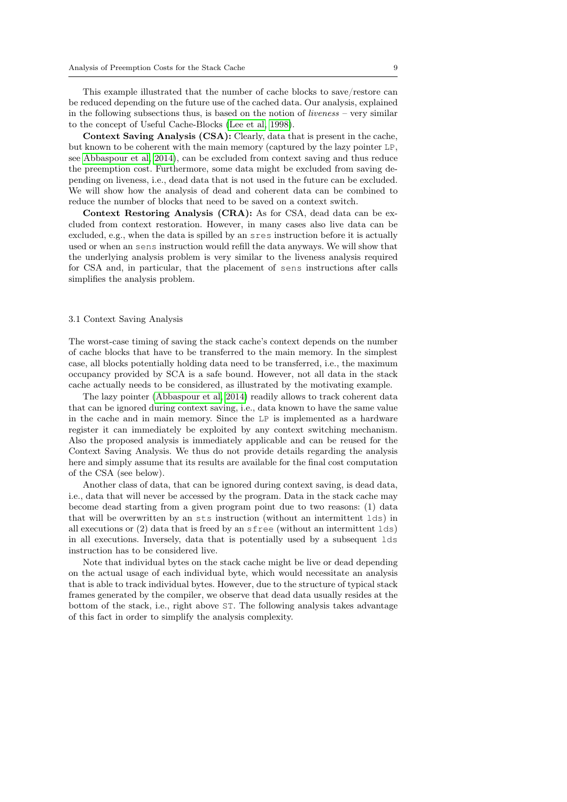This example illustrated that the number of cache blocks to save/restore can be reduced depending on the future use of the cached data. Our analysis, explained in the following subsections thus, is based on the notion of *liveness* – very similar to the concept of Useful Cache-Blocks [\(Lee et al, 1998\)](#page-40-5).

Context Saving Analysis (CSA): Clearly, data that is present in the cache, but known to be coherent with the main memory (captured by the lazy pointer LP, see [Abbaspour et al, 2014\)](#page-40-2), can be excluded from context saving and thus reduce the preemption cost. Furthermore, some data might be excluded from saving depending on liveness, i.e., dead data that is not used in the future can be excluded. We will show how the analysis of dead and coherent data can be combined to reduce the number of blocks that need to be saved on a context switch.

Context Restoring Analysis (CRA): As for CSA, dead data can be excluded from context restoration. However, in many cases also live data can be excluded, e.g., when the data is spilled by an sres instruction before it is actually used or when an sens instruction would refill the data anyways. We will show that the underlying analysis problem is very similar to the liveness analysis required for CSA and, in particular, that the placement of sens instructions after calls simplifies the analysis problem.

### 3.1 Context Saving Analysis

The worst-case timing of saving the stack cache's context depends on the number of cache blocks that have to be transferred to the main memory. In the simplest case, all blocks potentially holding data need to be transferred, i.e., the maximum occupancy provided by SCA is a safe bound. However, not all data in the stack cache actually needs to be considered, as illustrated by the motivating example.

The lazy pointer [\(Abbaspour et al, 2014\)](#page-40-2) readily allows to track coherent data that can be ignored during context saving, i.e., data known to have the same value in the cache and in main memory. Since the LP is implemented as a hardware register it can immediately be exploited by any context switching mechanism. Also the proposed analysis is immediately applicable and can be reused for the Context Saving Analysis. We thus do not provide details regarding the analysis here and simply assume that its results are available for the final cost computation of the CSA (see below).

Another class of data, that can be ignored during context saving, is dead data, i.e., data that will never be accessed by the program. Data in the stack cache may become dead starting from a given program point due to two reasons: (1) data that will be overwritten by an sts instruction (without an intermittent lds) in all executions or (2) data that is freed by an sfree (without an intermittent lds) in all executions. Inversely, data that is potentially used by a subsequent lds instruction has to be considered live.

Note that individual bytes on the stack cache might be live or dead depending on the actual usage of each individual byte, which would necessitate an analysis that is able to track individual bytes. However, due to the structure of typical stack frames generated by the compiler, we observe that dead data usually resides at the bottom of the stack, i.e., right above ST. The following analysis takes advantage of this fact in order to simplify the analysis complexity.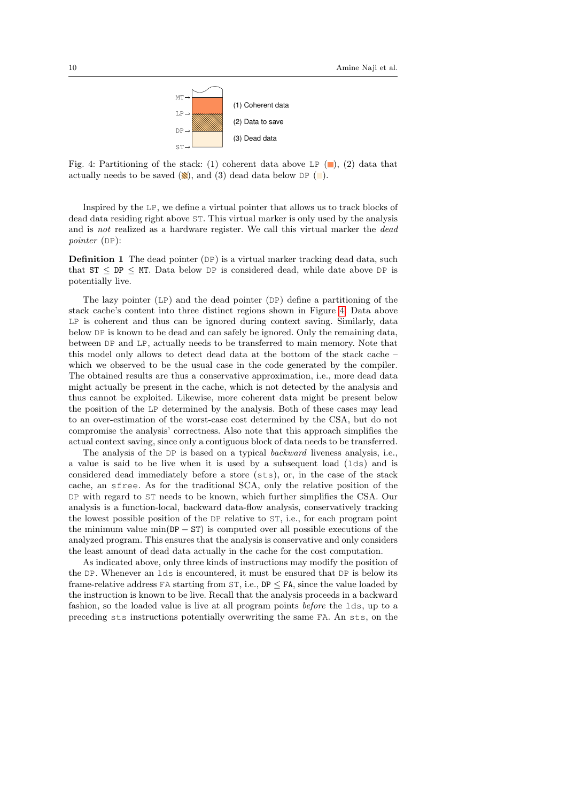

<span id="page-9-0"></span>Fig. 4: Partitioning of the stack: (1) coherent data above LP  $(\blacksquare)$ , (2) data that actually needs to be saved  $(\mathbf{\aleph})$ , and (3) dead data below DP  $(\blacksquare)$ .

Inspired by the LP, we define a virtual pointer that allows us to track blocks of dead data residing right above ST. This virtual marker is only used by the analysis and is not realized as a hardware register. We call this virtual marker the dead pointer (DP):

**Definition 1** The dead pointer  $(DP)$  is a virtual marker tracking dead data, such that  $ST \leq DP \leq MT$ . Data below DP is considered dead, while date above DP is potentially live.

The lazy pointer (LP) and the dead pointer (DP) define a partitioning of the stack cache's content into three distinct regions shown in Figure [4.](#page-9-0) Data above LP is coherent and thus can be ignored during context saving. Similarly, data below DP is known to be dead and can safely be ignored. Only the remaining data, between DP and LP, actually needs to be transferred to main memory. Note that this model only allows to detect dead data at the bottom of the stack cache – which we observed to be the usual case in the code generated by the compiler. The obtained results are thus a conservative approximation, i.e., more dead data might actually be present in the cache, which is not detected by the analysis and thus cannot be exploited. Likewise, more coherent data might be present below the position of the LP determined by the analysis. Both of these cases may lead to an over-estimation of the worst-case cost determined by the CSA, but do not compromise the analysis' correctness. Also note that this approach simplifies the actual context saving, since only a contiguous block of data needs to be transferred.

The analysis of the DP is based on a typical backward liveness analysis, i.e., a value is said to be live when it is used by a subsequent load (lds) and is considered dead immediately before a store (sts), or, in the case of the stack cache, an sfree. As for the traditional SCA, only the relative position of the DP with regard to ST needs to be known, which further simplifies the CSA. Our analysis is a function-local, backward data-flow analysis, conservatively tracking the lowest possible position of the DP relative to ST, i.e., for each program point the minimum value min( $DP - ST$ ) is computed over all possible executions of the analyzed program. This ensures that the analysis is conservative and only considers the least amount of dead data actually in the cache for the cost computation.

As indicated above, only three kinds of instructions may modify the position of the DP. Whenever an lds is encountered, it must be ensured that DP is below its frame-relative address FA starting from  $ST$ , i.e., DP  $\leq$  FA, since the value loaded by the instruction is known to be live. Recall that the analysis proceeds in a backward fashion, so the loaded value is live at all program points before the lds, up to a preceding sts instructions potentially overwriting the same FA. An sts, on the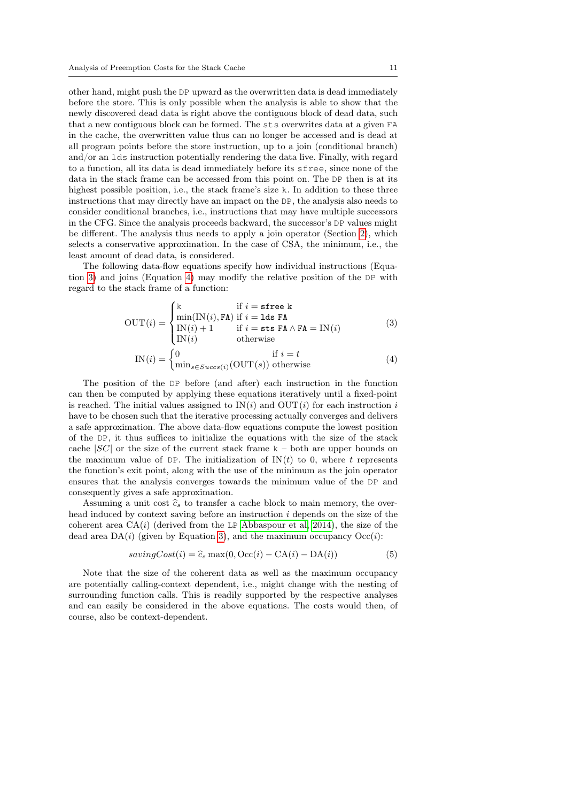other hand, might push the DP upward as the overwritten data is dead immediately before the store. This is only possible when the analysis is able to show that the newly discovered dead data is right above the contiguous block of dead data, such that a new contiguous block can be formed. The sts overwrites data at a given FA in the cache, the overwritten value thus can no longer be accessed and is dead at all program points before the store instruction, up to a join (conditional branch) and/or an lds instruction potentially rendering the data live. Finally, with regard to a function, all its data is dead immediately before its sfree, since none of the data in the stack frame can be accessed from this point on. The DP then is at its highest possible position, i.e., the stack frame's size k. In addition to these three instructions that may directly have an impact on the DP, the analysis also needs to consider conditional branches, i.e., instructions that may have multiple successors in the CFG. Since the analysis proceeds backward, the successor's DP values might be different. The analysis thus needs to apply a join operator (Section [2\)](#page-2-0), which selects a conservative approximation. In the case of CSA, the minimum, i.e., the least amount of dead data, is considered.

The following data-flow equations specify how individual instructions (Equation [3\)](#page-10-0) and joins (Equation [4\)](#page-10-1) may modify the relative position of the DP with regard to the stack frame of a function:

<span id="page-10-1"></span><span id="page-10-0"></span>
$$
OUT(i) = \begin{cases} k & \text{if } i = \text{sfree } k \\ \min(IN(i), FA) \text{ if } i = \text{lds } FA \\ IN(i) + 1 & \text{if } i = \text{sts } FA \land FA = IN(i) \\ IN(i) & \text{otherwise} \end{cases}
$$
(3)  

$$
IN(i) = \begin{cases} 0 & \text{if } i = t \\ \min_{s \in Succs(i)}(\text{OUT}(s)) \text{ otherwise} \end{cases}
$$
(4)

The position of the DP before (and after) each instruction in the function can then be computed by applying these equations iteratively until a fixed-point is reached. The initial values assigned to  $IN(i)$  and  $OUT(i)$  for each instruction i have to be chosen such that the iterative processing actually converges and delivers a safe approximation. The above data-flow equations compute the lowest position of the DP, it thus suffices to initialize the equations with the size of the stack cache  $|SC|$  or the size of the current stack frame  $k -$  both are upper bounds on the maximum value of DP. The initialization of  $IN(t)$  to 0, where t represents the function's exit point, along with the use of the minimum as the join operator ensures that the analysis converges towards the minimum value of the DP and consequently gives a safe approximation.

Assuming a unit cost  $\hat{c}_s$  to transfer a cache block to main memory, the overhead induced by context saving before an instruction i depends on the size of the coherent area  $CA(i)$  (derived from the LP [Abbaspour et al, 2014\)](#page-40-2), the size of the dead area  $DA(i)$  (given by Equation [3\)](#page-10-0), and the maximum occupancy  $Occ(i)$ :

$$
savingCost(i) = \hat{c}_s \max(0, \text{Occ}(i) - \text{CA}(i) - \text{DA}(i))
$$
\n(5)

Note that the size of the coherent data as well as the maximum occupancy are potentially calling-context dependent, i.e., might change with the nesting of surrounding function calls. This is readily supported by the respective analyses and can easily be considered in the above equations. The costs would then, of course, also be context-dependent.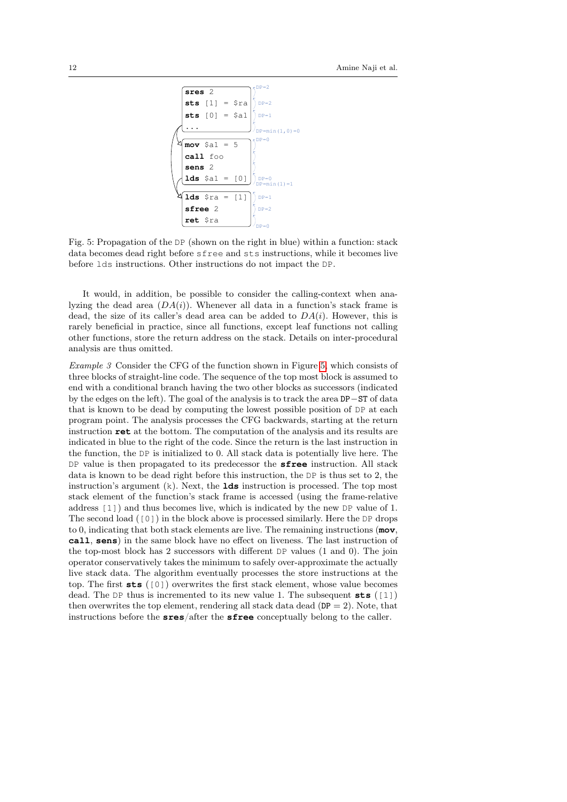<span id="page-11-0"></span>

Fig. 5: Propagation of the DP (shown on the right in blue) within a function: stack data becomes dead right before sfree and sts instructions, while it becomes live before lds instructions. Other instructions do not impact the DP.

It would, in addition, be possible to consider the calling-context when analyzing the dead area  $(DA(i))$ . Whenever all data in a function's stack frame is dead, the size of its caller's dead area can be added to  $DA(i)$ . However, this is rarely beneficial in practice, since all functions, except leaf functions not calling other functions, store the return address on the stack. Details on inter-procedural analysis are thus omitted.

<span id="page-11-1"></span>Example 3 Consider the CFG of the function shown in Figure [5,](#page-11-0) which consists of three blocks of straight-line code. The sequence of the top most block is assumed to end with a conditional branch having the two other blocks as successors (indicated by the edges on the left). The goal of the analysis is to track the area DP−ST of data that is known to be dead by computing the lowest possible position of DP at each program point. The analysis processes the CFG backwards, starting at the return instruction **ret** at the bottom. The computation of the analysis and its results are indicated in blue to the right of the code. Since the return is the last instruction in the function, the DP is initialized to 0. All stack data is potentially live here. The DP value is then propagated to its predecessor the **sfree** instruction. All stack data is known to be dead right before this instruction, the DP is thus set to 2, the instruction's argument  $(k)$ . Next, the **lds** instruction is processed. The top most stack element of the function's stack frame is accessed (using the frame-relative address [1]) and thus becomes live, which is indicated by the new DP value of 1. The second load  $(101)$  in the block above is processed similarly. Here the DP drops to 0, indicating that both stack elements are live. The remaining instructions (**mov**, **call**, **sens**) in the same block have no effect on liveness. The last instruction of the top-most block has 2 successors with different DP values (1 and 0). The join operator conservatively takes the minimum to safely over-approximate the actually live stack data. The algorithm eventually processes the store instructions at the top. The first **sts** ([0]) overwrites the first stack element, whose value becomes dead. The DP thus is incremented to its new value 1. The subsequent **sts** ([1]) then overwrites the top element, rendering all stack data dead  $(DP = 2)$ . Note, that instructions before the **sres**/after the **sfree** conceptually belong to the caller.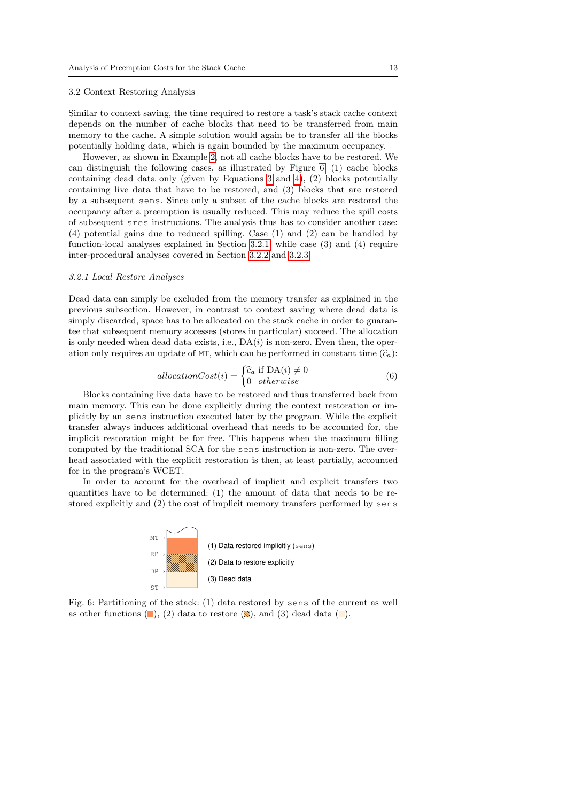#### 3.2 Context Restoring Analysis

Similar to context saving, the time required to restore a task's stack cache context depends on the number of cache blocks that need to be transferred from main memory to the cache. A simple solution would again be to transfer all the blocks potentially holding data, which is again bounded by the maximum occupancy.

However, as shown in Example [2,](#page-7-2) not all cache blocks have to be restored. We can distinguish the following cases, as illustrated by Figure [6:](#page-12-0) (1) cache blocks containing dead data only (given by Equations [3](#page-10-0) and [4\)](#page-10-1), (2) blocks potentially containing live data that have to be restored, and (3) blocks that are restored by a subsequent sens. Since only a subset of the cache blocks are restored the occupancy after a preemption is usually reduced. This may reduce the spill costs of subsequent sres instructions. The analysis thus has to consider another case: (4) potential gains due to reduced spilling. Case (1) and (2) can be handled by function-local analyses explained in Section [3.2.1,](#page-12-1) while case (3) and (4) require inter-procedural analyses covered in Section [3.2.2](#page-15-0) and [3.2.3.](#page-17-0)

#### <span id="page-12-1"></span>3.2.1 Local Restore Analyses

Dead data can simply be excluded from the memory transfer as explained in the previous subsection. However, in contrast to context saving where dead data is simply discarded, space has to be allocated on the stack cache in order to guarantee that subsequent memory accesses (stores in particular) succeed. The allocation is only needed when dead data exists, i.e.,  $DA(i)$  is non-zero. Even then, the operation only requires an update of MT, which can be performed in constant time  $(\hat{c}_a)$ :

<span id="page-12-2"></span>
$$
allocationCost(i) = \begin{cases} \hat{c}_a & \text{if } DA(i) \neq 0\\ 0 & otherwise \end{cases}
$$
 (6)

Blocks containing live data have to be restored and thus transferred back from main memory. This can be done explicitly during the context restoration or implicitly by an sens instruction executed later by the program. While the explicit transfer always induces additional overhead that needs to be accounted for, the implicit restoration might be for free. This happens when the maximum filling computed by the traditional SCA for the sens instruction is non-zero. The overhead associated with the explicit restoration is then, at least partially, accounted for in the program's WCET.

<span id="page-12-0"></span>In order to account for the overhead of implicit and explicit transfers two quantities have to be determined: (1) the amount of data that needs to be restored explicitly and (2) the cost of implicit memory transfers performed by sens



Fig. 6: Partitioning of the stack: (1) data restored by sens of the current as well as other functions  $(\blacksquare)$ , (2) data to restore  $(\mathbb{N})$ , and (3) dead data  $(\blacksquare)$ .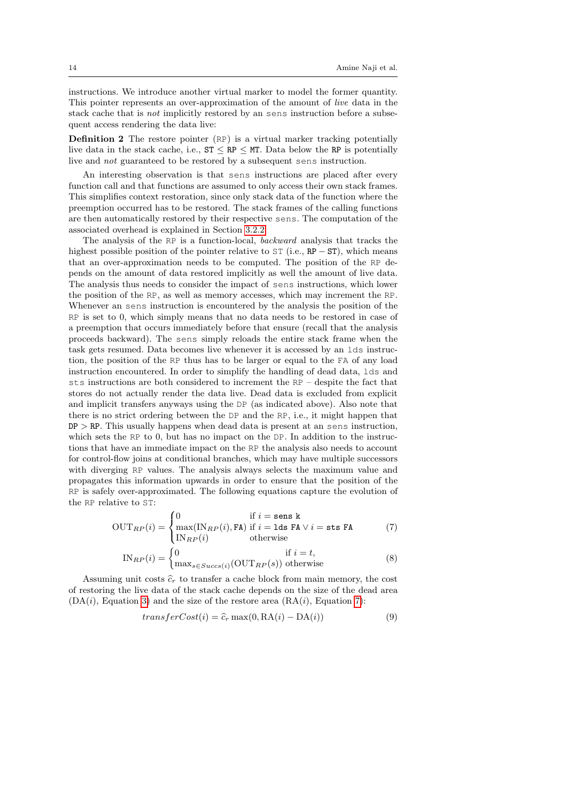instructions. We introduce another virtual marker to model the former quantity. This pointer represents an over-approximation of the amount of live data in the stack cache that is *not* implicitly restored by an sens instruction before a subsequent access rendering the data live:

Definition 2 The restore pointer (RP) is a virtual marker tracking potentially live data in the stack cache, i.e.,  $ST \le RP \le MT$ . Data below the RP is potentially live and not guaranteed to be restored by a subsequent sens instruction.

An interesting observation is that sens instructions are placed after every function call and that functions are assumed to only access their own stack frames. This simplifies context restoration, since only stack data of the function where the preemption occurred has to be restored. The stack frames of the calling functions are then automatically restored by their respective sens. The computation of the associated overhead is explained in Section [3.2.2.](#page-15-0)

The analysis of the RP is a function-local, backward analysis that tracks the highest possible position of the pointer relative to  $ST$  (i.e.,  $RP - ST$ ), which means that an over-approximation needs to be computed. The position of the RP depends on the amount of data restored implicitly as well the amount of live data. The analysis thus needs to consider the impact of sens instructions, which lower the position of the RP, as well as memory accesses, which may increment the RP. Whenever an sens instruction is encountered by the analysis the position of the RP is set to 0, which simply means that no data needs to be restored in case of a preemption that occurs immediately before that ensure (recall that the analysis proceeds backward). The sens simply reloads the entire stack frame when the task gets resumed. Data becomes live whenever it is accessed by an lds instruction, the position of the RP thus has to be larger or equal to the FA of any load instruction encountered. In order to simplify the handling of dead data, lds and sts instructions are both considered to increment the RP – despite the fact that stores do not actually render the data live. Dead data is excluded from explicit and implicit transfers anyways using the DP (as indicated above). Also note that there is no strict ordering between the DP and the RP, i.e., it might happen that  $DP > RP$ . This usually happens when dead data is present at an sens instruction, which sets the RP to 0, but has no impact on the DP. In addition to the instructions that have an immediate impact on the RP the analysis also needs to account for control-flow joins at conditional branches, which may have multiple successors with diverging RP values. The analysis always selects the maximum value and propagates this information upwards in order to ensure that the position of the RP is safely over-approximated. The following equations capture the evolution of the RP relative to ST:

$$
OUT_{RP}(i) = \begin{cases} 0 & \text{if } i = \text{sens } k \\ \max(\text{IN}_{RP}(i), \text{FA}) & \text{if } i = 1 \text{ds } \text{FA} \lor i = \text{sts } \text{FA} \\ \text{IN}_{RP}(i) & \text{otherwise} \end{cases}
$$
(7)

$$
IN_{RP}(i) = \begin{cases} 0 & \text{if } i = t, \\ \max_{s \in Success(i)} (\text{OUT}_{RP}(s)) \text{ otherwise} \end{cases}
$$
(8)

Assuming unit costs  $\hat{c}_r$  to transfer a cache block from main memory, the cost of restoring the live data of the stack cache depends on the size of the dead area  $(DA(i), Equation 3)$  $(DA(i), Equation 3)$  and the size of the restore area  $(RA(i), Equation 7)$  $(RA(i), Equation 7)$ :

<span id="page-13-1"></span><span id="page-13-0"></span>
$$
transferCost(i) = \hat{c}_r \max(0, RA(i) - DA(i))
$$
\n(9)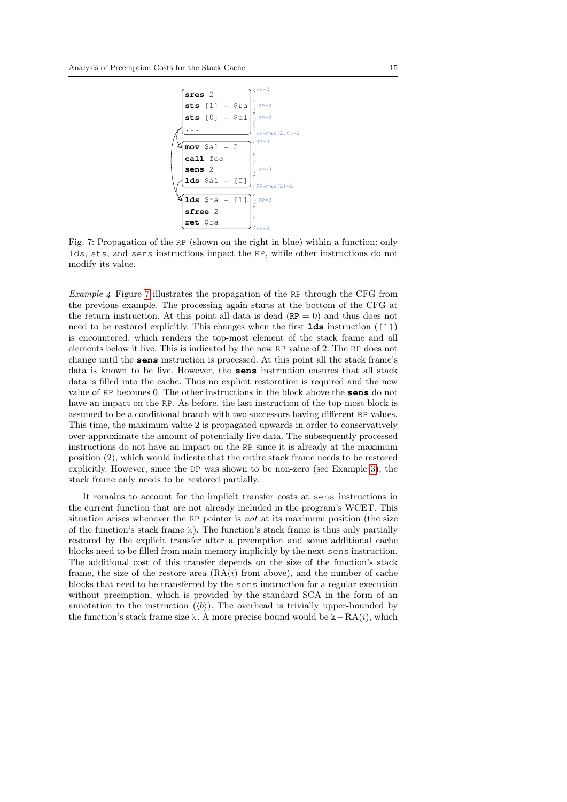<span id="page-14-0"></span>

Fig. 7: Propagation of the RP (shown on the right in blue) within a function: only lds, sts, and sens instructions impact the RP, while other instructions do not modify its value.

Example 4 Figure [7](#page-14-0) illustrates the propagation of the RP through the CFG from the previous example. The processing again starts at the bottom of the CFG at the return instruction. At this point all data is dead  $(RP = 0)$  and thus does not need to be restored explicitly. This changes when the first **lds** instruction ([1]) is encountered, which renders the top-most element of the stack frame and all elements below it live. This is indicated by the new RP value of 2. The RP does not change until the **sens** instruction is processed. At this point all the stack frame's data is known to be live. However, the **sens** instruction ensures that all stack data is filled into the cache. Thus no explicit restoration is required and the new value of RP becomes 0. The other instructions in the block above the **sens** do not have an impact on the RP. As before, the last instruction of the top-most block is assumed to be a conditional branch with two successors having different RP values. This time, the maximum value 2 is propagated upwards in order to conservatively over-approximate the amount of potentially live data. The subsequently processed instructions do not have an impact on the RP since it is already at the maximum position (2), which would indicate that the entire stack frame needs to be restored explicitly. However, since the DP was shown to be non-zero (see Example [3\)](#page-11-1), the stack frame only needs to be restored partially.

It remains to account for the implicit transfer costs at sens instructions in the current function that are not already included in the program's WCET. This situation arises whenever the RP pointer is not at its maximum position (the size of the function's stack frame k). The function's stack frame is thus only partially restored by the explicit transfer after a preemption and some additional cache blocks need to be filled from main memory implicitly by the next sens instruction. The additional cost of this transfer depends on the size of the function's stack frame, the size of the restore area  $(RA(i)$  from above), and the number of cache blocks that need to be transferred by the sens instruction for a regular execution without preemption, which is provided by the standard SCA in the form of an annotation to the instruction  $(\langle b \rangle)$ . The overhead is trivially upper-bounded by the function's stack frame size k. A more precise bound would be  $k-RA(i)$ , which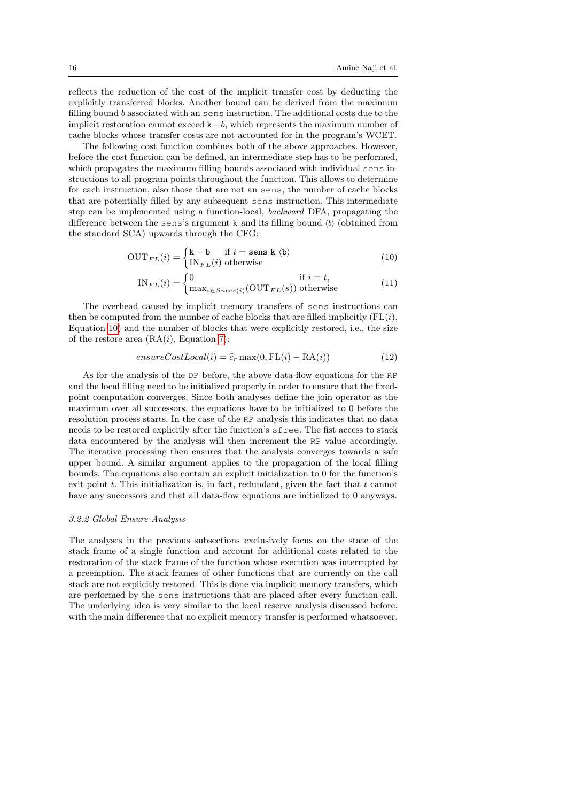reflects the reduction of the cost of the implicit transfer cost by deducting the explicitly transferred blocks. Another bound can be derived from the maximum filling bound b associated with an sens instruction. The additional costs due to the implicit restoration cannot exceed  $k-b$ , which represents the maximum number of cache blocks whose transfer costs are not accounted for in the program's WCET.

The following cost function combines both of the above approaches. However, before the cost function can be defined, an intermediate step has to be performed, which propagates the maximum filling bounds associated with individual sens instructions to all program points throughout the function. This allows to determine for each instruction, also those that are not an sens, the number of cache blocks that are potentially filled by any subsequent sens instruction. This intermediate step can be implemented using a function-local, backward DFA, propagating the difference between the sens's argument k and its filling bound  $\langle b \rangle$  (obtained from the standard SCA) upwards through the CFG:

$$
OUT_{FL}(i) = \begin{cases} k - b & \text{if } i = \text{sens } k \langle b \rangle \\ IN_{FL}(i) & \text{otherwise} \end{cases}
$$
 (10)

<span id="page-15-2"></span><span id="page-15-1"></span>
$$
IN_{FL}(i) = \begin{cases} 0 & \text{if } i = t, \\ \max_{s \in Success(i)}(\text{OUT}_{FL}(s)) & \text{otherwise} \end{cases}
$$
(11)

The overhead caused by implicit memory transfers of sens instructions can then be computed from the number of cache blocks that are filled implicitly  $(FL(i),$ Equation [10\)](#page-15-1) and the number of blocks that were explicitly restored, i.e., the size of the restore area  $(RA(i), Equation 7)$  $(RA(i), Equation 7)$ :

<span id="page-15-3"></span>
$$
ensureCostLocal(i) = \hat{c}_r \max(0, FL(i) - RA(i))
$$
\n(12)

As for the analysis of the DP before, the above data-flow equations for the RP and the local filling need to be initialized properly in order to ensure that the fixedpoint computation converges. Since both analyses define the join operator as the maximum over all successors, the equations have to be initialized to 0 before the resolution process starts. In the case of the RP analysis this indicates that no data needs to be restored explicitly after the function's sfree. The fist access to stack data encountered by the analysis will then increment the RP value accordingly. The iterative processing then ensures that the analysis converges towards a safe upper bound. A similar argument applies to the propagation of the local filling bounds. The equations also contain an explicit initialization to 0 for the function's exit point  $t$ . This initialization is, in fact, redundant, given the fact that  $t$  cannot have any successors and that all data-flow equations are initialized to 0 anyways.

### <span id="page-15-0"></span>3.2.2 Global Ensure Analysis

The analyses in the previous subsections exclusively focus on the state of the stack frame of a single function and account for additional costs related to the restoration of the stack frame of the function whose execution was interrupted by a preemption. The stack frames of other functions that are currently on the call stack are not explicitly restored. This is done via implicit memory transfers, which are performed by the sens instructions that are placed after every function call. The underlying idea is very similar to the local reserve analysis discussed before, with the main difference that no explicit memory transfer is performed whatsoever.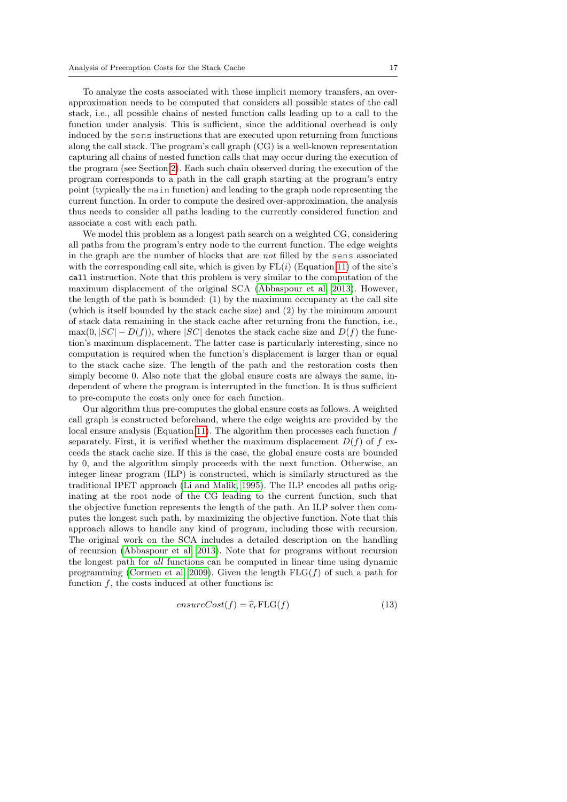To analyze the costs associated with these implicit memory transfers, an overapproximation needs to be computed that considers all possible states of the call stack, i.e., all possible chains of nested function calls leading up to a call to the function under analysis. This is sufficient, since the additional overhead is only induced by the sens instructions that are executed upon returning from functions along the call stack. The program's call graph (CG) is a well-known representation capturing all chains of nested function calls that may occur during the execution of the program (see Section [2\)](#page-2-0). Each such chain observed during the execution of the program corresponds to a path in the call graph starting at the program's entry point (typically the main function) and leading to the graph node representing the current function. In order to compute the desired over-approximation, the analysis thus needs to consider all paths leading to the currently considered function and associate a cost with each path.

We model this problem as a longest path search on a weighted CG, considering all paths from the program's entry node to the current function. The edge weights in the graph are the number of blocks that are not filled by the sens associated with the corresponding call site, which is given by  $FL(i)$  (Equation [11\)](#page-15-2) of the site's call instruction. Note that this problem is very similar to the computation of the maximum displacement of the original SCA [\(Abbaspour et al, 2013\)](#page-40-1). However, the length of the path is bounded: (1) by the maximum occupancy at the call site (which is itself bounded by the stack cache size) and (2) by the minimum amount of stack data remaining in the stack cache after returning from the function, i.e.,  $\max(0, |SC| - D(f))$ , where  $|SC|$  denotes the stack cache size and  $D(f)$  the function's maximum displacement. The latter case is particularly interesting, since no computation is required when the function's displacement is larger than or equal to the stack cache size. The length of the path and the restoration costs then simply become 0. Also note that the global ensure costs are always the same, independent of where the program is interrupted in the function. It is thus sufficient to pre-compute the costs only once for each function.

Our algorithm thus pre-computes the global ensure costs as follows. A weighted call graph is constructed beforehand, where the edge weights are provided by the local ensure analysis (Equation [11\)](#page-15-2). The algorithm then processes each function f separately. First, it is verified whether the maximum displacement  $D(f)$  of f exceeds the stack cache size. If this is the case, the global ensure costs are bounded by 0, and the algorithm simply proceeds with the next function. Otherwise, an integer linear program (ILP) is constructed, which is similarly structured as the traditional IPET approach [\(Li and Malik, 1995\)](#page-41-5). The ILP encodes all paths originating at the root node of the CG leading to the current function, such that the objective function represents the length of the path. An ILP solver then computes the longest such path, by maximizing the objective function. Note that this approach allows to handle any kind of program, including those with recursion. The original work on the SCA includes a detailed description on the handling of recursion [\(Abbaspour et al, 2013\)](#page-40-1). Note that for programs without recursion the longest path for all functions can be computed in linear time using dynamic programming [\(Cormen et al, 2009\)](#page-40-7). Given the length  $FLG(f)$  of such a path for function  $f$ , the costs induced at other functions is:

<span id="page-16-1"></span><span id="page-16-0"></span>
$$
ensureCost(f) = \hat{c}_r \text{FLG}(f) \tag{13}
$$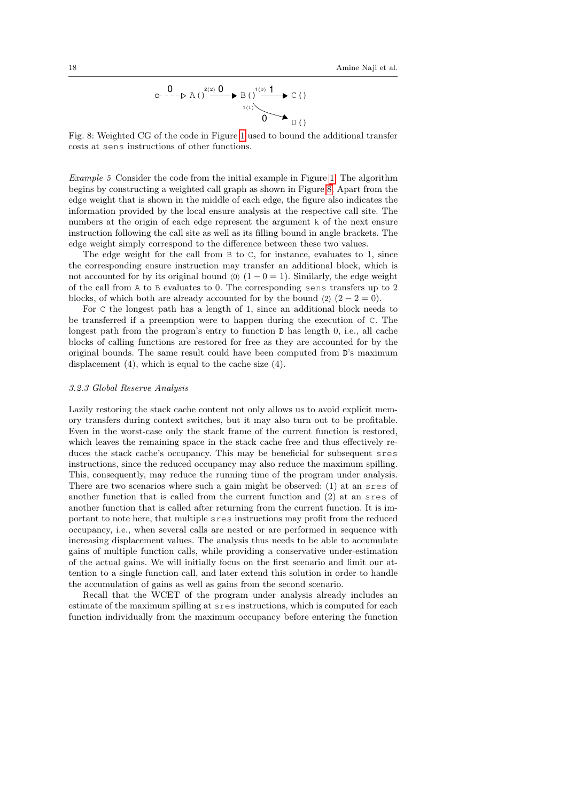$$
\circlearrowright \xrightarrow{\mathbf{0}} \mathbf{A} \left( \right)^{2(2)} \xrightarrow{\mathbf{0}} \mathbf{B} \left( \right)^{1(0)} \xrightarrow{\mathbf{1}} \mathbf{C} \left( \right)
$$

<span id="page-17-1"></span>Fig. 8: Weighted CG of the code in Figure [1](#page-5-0) used to bound the additional transfer costs at sens instructions of other functions.

Example 5 Consider the code from the initial example in Figure [1.](#page-5-0) The algorithm begins by constructing a weighted call graph as shown in Figure [8.](#page-17-1) Apart from the edge weight that is shown in the middle of each edge, the figure also indicates the information provided by the local ensure analysis at the respective call site. The numbers at the origin of each edge represent the argument k of the next ensure instruction following the call site as well as its filling bound in angle brackets. The edge weight simply correspond to the difference between these two values.

The edge weight for the call from B to C, for instance, evaluates to 1, since the corresponding ensure instruction may transfer an additional block, which is not accounted for by its original bound  $\langle 0 \rangle$  (1 − 0 = 1). Similarly, the edge weight of the call from A to B evaluates to 0. The corresponding sens transfers up to 2 blocks, of which both are already accounted for by the bound  $\langle 2 \rangle (2 - 2 = 0)$ .

For C the longest path has a length of 1, since an additional block needs to be transferred if a preemption were to happen during the execution of C. The longest path from the program's entry to function D has length 0, i.e., all cache blocks of calling functions are restored for free as they are accounted for by the original bounds. The same result could have been computed from D's maximum displacement (4), which is equal to the cache size (4).

#### <span id="page-17-0"></span>3.2.3 Global Reserve Analysis

Lazily restoring the stack cache content not only allows us to avoid explicit memory transfers during context switches, but it may also turn out to be profitable. Even in the worst-case only the stack frame of the current function is restored, which leaves the remaining space in the stack cache free and thus effectively reduces the stack cache's occupancy. This may be beneficial for subsequent sres instructions, since the reduced occupancy may also reduce the maximum spilling. This, consequently, may reduce the running time of the program under analysis. There are two scenarios where such a gain might be observed: (1) at an sres of another function that is called from the current function and (2) at an sres of another function that is called after returning from the current function. It is important to note here, that multiple sres instructions may profit from the reduced occupancy, i.e., when several calls are nested or are performed in sequence with increasing displacement values. The analysis thus needs to be able to accumulate gains of multiple function calls, while providing a conservative under-estimation of the actual gains. We will initially focus on the first scenario and limit our attention to a single function call, and later extend this solution in order to handle the accumulation of gains as well as gains from the second scenario.

Recall that the WCET of the program under analysis already includes an estimate of the maximum spilling at sres instructions, which is computed for each function individually from the maximum occupancy before entering the function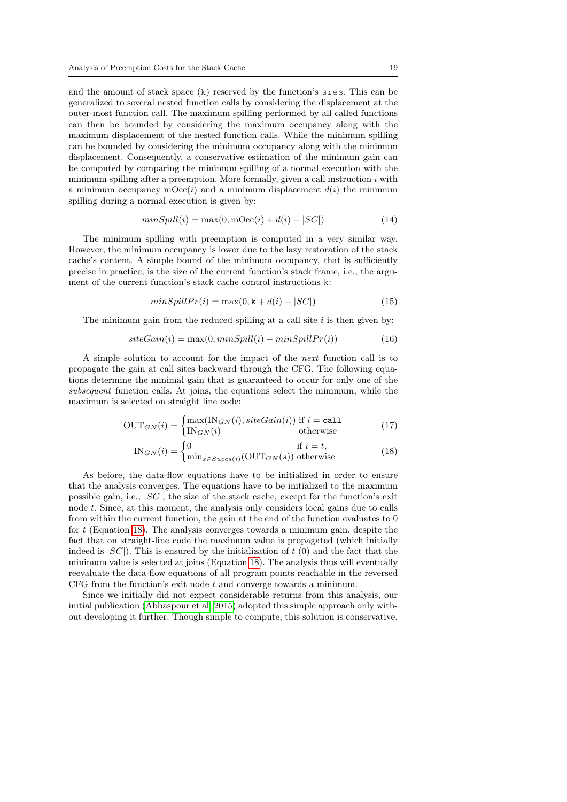and the amount of stack space  $(k)$  reserved by the function's sres. This can be generalized to several nested function calls by considering the displacement at the outer-most function call. The maximum spilling performed by all called functions can then be bounded by considering the maximum occupancy along with the maximum displacement of the nested function calls. While the minimum spilling can be bounded by considering the minimum occupancy along with the minimum displacement. Consequently, a conservative estimation of the minimum gain can be computed by comparing the minimum spilling of a normal execution with the minimum spilling after a preemption. More formally, given a call instruction  $i$  with a minimum occupancy m $\text{Occ}(i)$  and a minimum displacement  $d(i)$  the minimum spilling during a normal execution is given by:

<span id="page-18-2"></span>
$$
minSplit(i) = \max(0, \text{mOcc}(i) + d(i) - |SC|)
$$
\n(14)

The minimum spilling with preemption is computed in a very similar way. However, the minimum occupancy is lower due to the lazy restoration of the stack cache's content. A simple bound of the minimum occupancy, that is sufficiently precise in practice, is the size of the current function's stack frame, i.e., the argument of the current function's stack cache control instructions k:

<span id="page-18-3"></span>
$$
minSplitPr(i) = \max(0, k + d(i) - |SC|)
$$
\n(15)

The minimum gain from the reduced spilling at a call site  $i$  is then given by:

<span id="page-18-1"></span>
$$
siteGain(i) = \max(0, minSplit(i) - minSplitPr(i))
$$
\n(16)

A simple solution to account for the impact of the next function call is to propagate the gain at call sites backward through the CFG. The following equations determine the minimal gain that is guaranteed to occur for only one of the subsequent function calls. At joins, the equations select the minimum, while the maximum is selected on straight line code:

$$
OUT_{GN}(i) = \begin{cases} \max(\text{IN}_{GN}(i), siteGain(i)) & \text{if } i = \text{call} \\ \text{IN}_{GN}(i) & \text{otherwise} \end{cases} \tag{17}
$$

<span id="page-18-4"></span><span id="page-18-0"></span>
$$
IN_{GN}(i) = \begin{cases} 0 & \text{if } i = t, \\ \min_{s \in Success(i)}(\text{OUT}_{GN}(s)) & \text{otherwise} \end{cases}
$$
(18)

As before, the data-flow equations have to be initialized in order to ensure that the analysis converges. The equations have to be initialized to the maximum possible gain, i.e.,  $|SC|$ , the size of the stack cache, except for the function's exit node t. Since, at this moment, the analysis only considers local gains due to calls from within the current function, the gain at the end of the function evaluates to 0 for t (Equation [18\)](#page-18-0). The analysis converges towards a minimum gain, despite the fact that on straight-line code the maximum value is propagated (which initially indeed is  $|SC|$ ). This is ensured by the initialization of  $t(0)$  and the fact that the minimum value is selected at joins (Equation [18\)](#page-18-0). The analysis thus will eventually reevaluate the data-flow equations of all program points reachable in the reversed CFG from the function's exit node  $t$  and converge towards a minimum.

Since we initially did not expect considerable returns from this analysis, our initial publication [\(Abbaspour et al, 2015\)](#page-40-0) adopted this simple approach only without developing it further. Though simple to compute, this solution is conservative.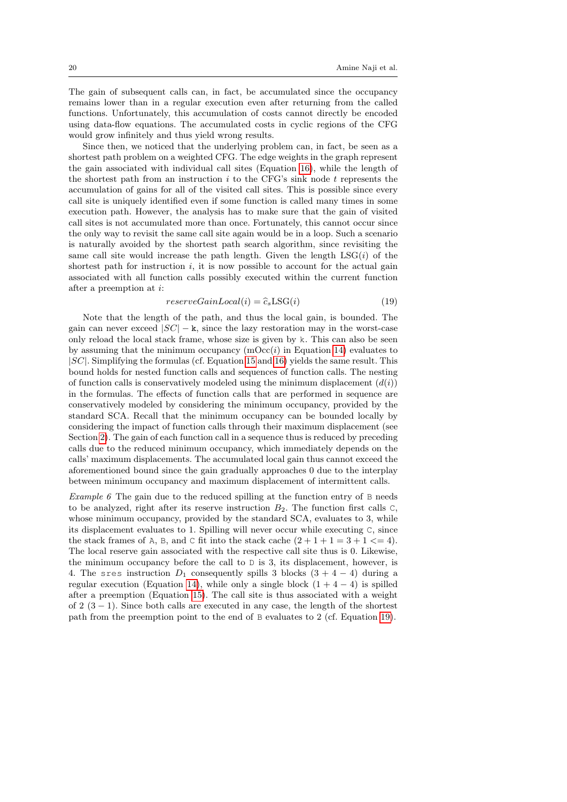The gain of subsequent calls can, in fact, be accumulated since the occupancy remains lower than in a regular execution even after returning from the called functions. Unfortunately, this accumulation of costs cannot directly be encoded using data-flow equations. The accumulated costs in cyclic regions of the CFG would grow infinitely and thus yield wrong results.

Since then, we noticed that the underlying problem can, in fact, be seen as a shortest path problem on a weighted CFG. The edge weights in the graph represent the gain associated with individual call sites (Equation [16\)](#page-18-1), while the length of the shortest path from an instruction  $i$  to the CFG's sink node  $t$  represents the accumulation of gains for all of the visited call sites. This is possible since every call site is uniquely identified even if some function is called many times in some execution path. However, the analysis has to make sure that the gain of visited call sites is not accumulated more than once. Fortunately, this cannot occur since the only way to revisit the same call site again would be in a loop. Such a scenario is naturally avoided by the shortest path search algorithm, since revisiting the same call site would increase the path length. Given the length  $LSG(i)$  of the shortest path for instruction  $i$ , it is now possible to account for the actual gain associated with all function calls possibly executed within the current function after a preemption at i:

<span id="page-19-0"></span>
$$
reserveGainLocal(i) = \hat{c}_s \text{LSG}(i) \tag{19}
$$

Note that the length of the path, and thus the local gain, is bounded. The gain can never exceed  $|SC| - k$ , since the lazy restoration may in the worst-case only reload the local stack frame, whose size is given by k. This can also be seen by assuming that the minimum occupancy  $(mOcc(i)$  in Equation [14\)](#page-18-2) evaluates to  $|SC|$ . Simplifying the formulas (cf. Equation [15](#page-18-3) and [16\)](#page-18-1) yields the same result. This bound holds for nested function calls and sequences of function calls. The nesting of function calls is conservatively modeled using the minimum displacement  $(d(i))$ in the formulas. The effects of function calls that are performed in sequence are conservatively modeled by considering the minimum occupancy, provided by the standard SCA. Recall that the minimum occupancy can be bounded locally by considering the impact of function calls through their maximum displacement (see Section [2\)](#page-2-0). The gain of each function call in a sequence thus is reduced by preceding calls due to the reduced minimum occupancy, which immediately depends on the calls' maximum displacements. The accumulated local gain thus cannot exceed the aforementioned bound since the gain gradually approaches 0 due to the interplay between minimum occupancy and maximum displacement of intermittent calls.

<span id="page-19-1"></span>Example 6 The gain due to the reduced spilling at the function entry of  $B$  needs to be analyzed, right after its reserve instruction  $B_2$ . The function first calls C, whose minimum occupancy, provided by the standard SCA, evaluates to 3, while its displacement evaluates to 1. Spilling will never occur while executing C, since the stack frames of A, B, and C fit into the stack cache  $(2+1+1=3+1<=4)$ . The local reserve gain associated with the respective call site thus is 0. Likewise, the minimum occupancy before the call to  $D$  is 3, its displacement, however, is 4. The sres instruction  $D_1$  consequently spills 3 blocks  $(3 + 4 - 4)$  during a regular execution (Equation [14\)](#page-18-2), while only a single block  $(1 + 4 - 4)$  is spilled after a preemption (Equation [15\)](#page-18-3). The call site is thus associated with a weight of 2  $(3 - 1)$ . Since both calls are executed in any case, the length of the shortest path from the preemption point to the end of B evaluates to 2 (cf. Equation [19\)](#page-19-0).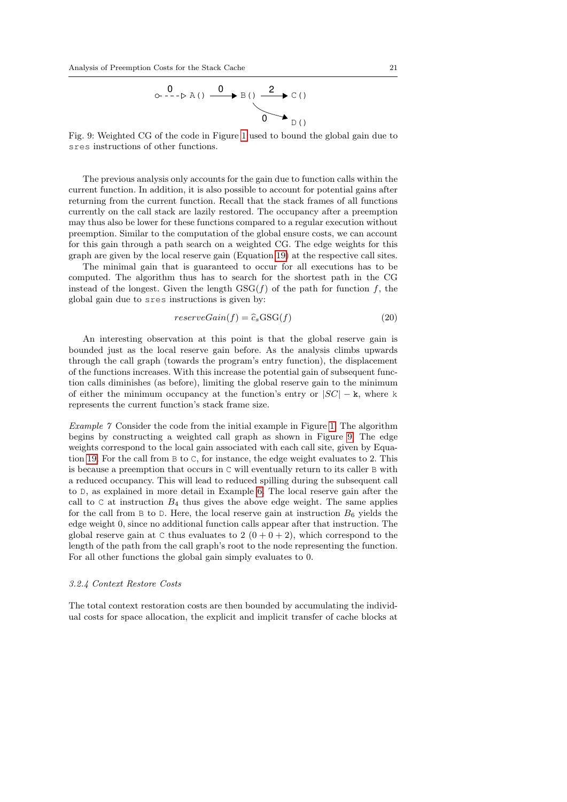$$
\circ \xrightarrow{0} A() \xrightarrow{0} B() \xrightarrow{2} C()
$$

<span id="page-20-0"></span>Fig. 9: Weighted CG of the code in Figure [1](#page-5-0) used to bound the global gain due to sres instructions of other functions.

The previous analysis only accounts for the gain due to function calls within the current function. In addition, it is also possible to account for potential gains after returning from the current function. Recall that the stack frames of all functions currently on the call stack are lazily restored. The occupancy after a preemption may thus also be lower for these functions compared to a regular execution without preemption. Similar to the computation of the global ensure costs, we can account for this gain through a path search on a weighted CG. The edge weights for this graph are given by the local reserve gain (Equation [19\)](#page-19-0) at the respective call sites.

The minimal gain that is guaranteed to occur for all executions has to be computed. The algorithm thus has to search for the shortest path in the CG instead of the longest. Given the length  $GSG(f)$  of the path for function f, the global gain due to sres instructions is given by:

<span id="page-20-1"></span>
$$
reserveGain(f) = \hat{c}_s \text{GSG}(f) \tag{20}
$$

An interesting observation at this point is that the global reserve gain is bounded just as the local reserve gain before. As the analysis climbs upwards through the call graph (towards the program's entry function), the displacement of the functions increases. With this increase the potential gain of subsequent function calls diminishes (as before), limiting the global reserve gain to the minimum of either the minimum occupancy at the function's entry or  $|SC| - k$ , where k represents the current function's stack frame size.

<span id="page-20-2"></span>Example 7 Consider the code from the initial example in Figure [1.](#page-5-0) The algorithm begins by constructing a weighted call graph as shown in Figure [9.](#page-20-0) The edge weights correspond to the local gain associated with each call site, given by Equation [19.](#page-19-0) For the call from B to C, for instance, the edge weight evaluates to 2. This is because a preemption that occurs in C will eventually return to its caller B with a reduced occupancy. This will lead to reduced spilling during the subsequent call to D, as explained in more detail in Example [6.](#page-19-1) The local reserve gain after the call to  $\subset$  at instruction  $B_4$  thus gives the above edge weight. The same applies for the call from B to D. Here, the local reserve gain at instruction  $B_6$  yields the edge weight 0, since no additional function calls appear after that instruction. The global reserve gain at C thus evaluates to  $2(0+0+2)$ , which correspond to the length of the path from the call graph's root to the node representing the function. For all other functions the global gain simply evaluates to 0.

#### 3.2.4 Context Restore Costs

The total context restoration costs are then bounded by accumulating the individual costs for space allocation, the explicit and implicit transfer of cache blocks at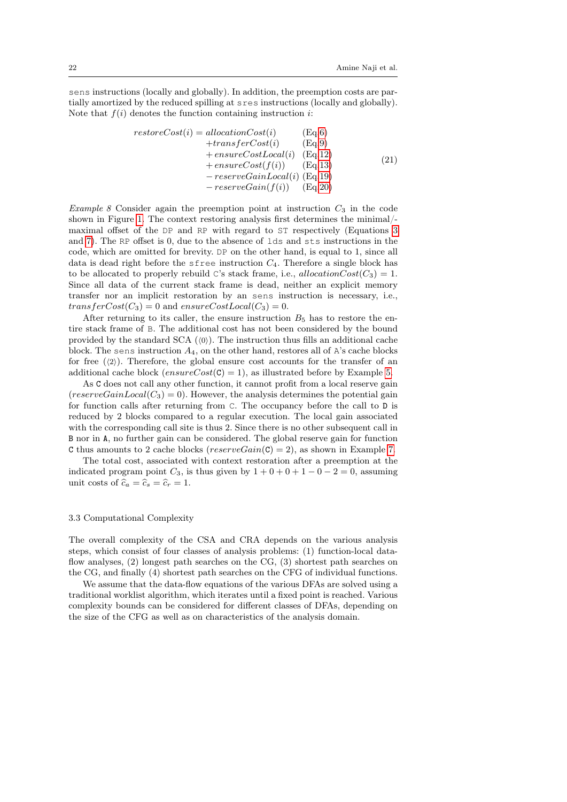sens instructions (locally and globally). In addition, the preemption costs are partially amortized by the reduced spilling at sres instructions (locally and globally). Note that  $f(i)$  denotes the function containing instruction i:

$$
restoreCost(i) = allocationCost(i) \qquad (Eq.6)
$$
  
+
$$
transferCost(i) \qquad (Eq.9)
$$
  
+
$$
ensureCostLocal(i) \qquad (Eq.12)
$$
  
+
$$
ensureCost(f(i)) \qquad (Eq.13)
$$
  
-
$$
reserveGainLocal(i) \qquad (Eq.19)
$$
  
-
$$
reserveGain(f(i)) \qquad (Eq.20)
$$

Example 8 Consider again the preemption point at instruction  $C_3$  in the code shown in Figure [1.](#page-5-0) The context restoring analysis first determines the minimal/ maximal offset of the DP and RP with regard to ST respectively (Equations [3](#page-10-0) and [7\)](#page-13-0). The RP offset is 0, due to the absence of lds and sts instructions in the code, which are omitted for brevity. DP on the other hand, is equal to 1, since all data is dead right before the sfree instruction  $C_4$ . Therefore a single block has to be allocated to properly rebuild C's stack frame, i.e.,  $\text{allocationCost}(C_3) = 1$ . Since all data of the current stack frame is dead, neither an explicit memory transfer nor an implicit restoration by an sens instruction is necessary, i.e.,  $transferCost(C_3) = 0$  and  $ensureCostLocal(C_3) = 0$ .

After returning to its caller, the ensure instruction  $B_5$  has to restore the entire stack frame of B. The additional cost has not been considered by the bound provided by the standard SCA  $(0)$ . The instruction thus fills an additional cache block. The sens instruction  $A_4$ , on the other hand, restores all of A's cache blocks for free  $(2)$ ). Therefore, the global ensure cost accounts for the transfer of an additional cache block  $(ensuremath{\mathcal{C}}) = 1$ , as illustrated before by Example [5.](#page-16-1)

As C does not call any other function, it cannot profit from a local reserve gain  $(reservedGainLocal(C_3) = 0)$ . However, the analysis determines the potential gain for function calls after returning from C. The occupancy before the call to D is reduced by 2 blocks compared to a regular execution. The local gain associated with the corresponding call site is thus 2. Since there is no other subsequent call in B nor in A, no further gain can be considered. The global reserve gain for function C thus amounts to 2 cache blocks ( $reserveGain(C) = 2$ ), as shown in Example [7.](#page-20-2)

The total cost, associated with context restoration after a preemption at the indicated program point  $C_3$ , is thus given by  $1 + 0 + 0 + 1 - 0 - 2 = 0$ , assuming unit costs of  $\hat{c}_a = \hat{c}_s = \hat{c}_r = 1$ .

### 3.3 Computational Complexity

The overall complexity of the CSA and CRA depends on the various analysis steps, which consist of four classes of analysis problems: (1) function-local dataflow analyses, (2) longest path searches on the CG, (3) shortest path searches on the CG, and finally (4) shortest path searches on the CFG of individual functions.

We assume that the data-flow equations of the various DFAs are solved using a traditional worklist algorithm, which iterates until a fixed point is reached. Various complexity bounds can be considered for different classes of DFAs, depending on the size of the CFG as well as on characteristics of the analysis domain.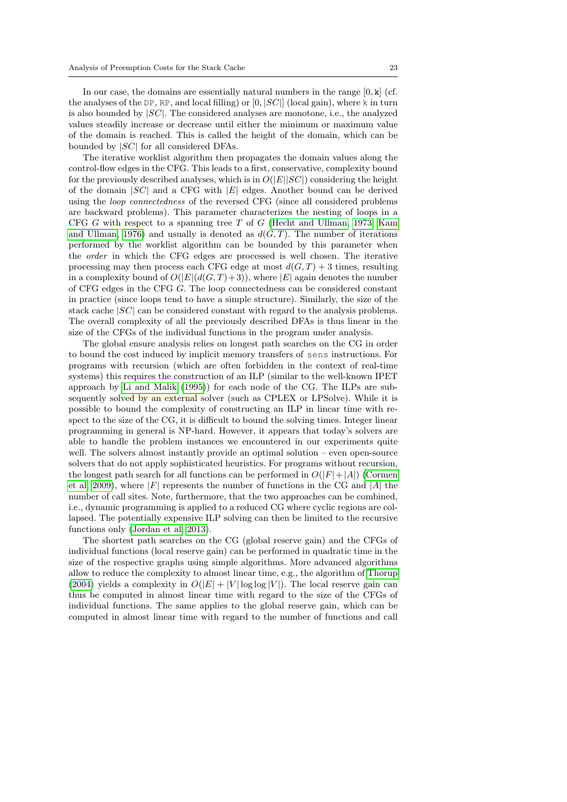In our case, the domains are essentially natural numbers in the range  $[0, \mathbf{k}]$  (cf. the analyses of the DP, RP, and local filling) or  $[0, |SC|]$  (local gain), where k in turn is also bounded by  $|SC|$ . The considered analyses are monotone, i.e., the analyzed values steadily increase or decrease until either the minimum or maximum value of the domain is reached. This is called the height of the domain, which can be bounded by |SC| for all considered DFAs.

The iterative worklist algorithm then propagates the domain values along the control-flow edges in the CFG. This leads to a first, conservative, complexity bound for the previously described analyses, which is in  $O(|E||SC|)$  considering the height of the domain  $|SC|$  and a CFG with  $|E|$  edges. Another bound can be derived using the loop connectedness of the reversed CFG (since all considered problems are backward problems). This parameter characterizes the nesting of loops in a CFG  $G$  with respect to a spanning tree  $T$  of  $G$  [\(Hecht and Ullman, 1973;](#page-40-8) [Kam](#page-40-9) [and Ullman, 1976\)](#page-40-9) and usually is denoted as  $d(G, T)$ . The number of iterations performed by the worklist algorithm can be bounded by this parameter when the order in which the CFG edges are processed is well chosen. The iterative processing may then process each CFG edge at most  $d(G, T) + 3$  times, resulting in a complexity bound of  $O(|E|(d(G, T) + 3))$ , where  $|E|$  again denotes the number of CFG edges in the CFG G. The loop connectedness can be considered constant in practice (since loops tend to have a simple structure). Similarly, the size of the stack cache  $|SC|$  can be considered constant with regard to the analysis problems. The overall complexity of all the previously described DFAs is thus linear in the size of the CFGs of the individual functions in the program under analysis.

The global ensure analysis relies on longest path searches on the CG in order to bound the cost induced by implicit memory transfers of sens instructions. For programs with recursion (which are often forbidden in the context of real-time systems) this requires the construction of an ILP (similar to the well-known IPET approach by [Li and Malik](#page-41-5) [\(1995\)](#page-41-5)) for each node of the CG. The ILPs are subsequently solved by an external solver (such as CPLEX or LPSolve). While it is possible to bound the complexity of constructing an ILP in linear time with respect to the size of the CG, it is difficult to bound the solving times. Integer linear programming in general is NP-hard. However, it appears that today's solvers are able to handle the problem instances we encountered in our experiments quite well. The solvers almost instantly provide an optimal solution – even open-source solvers that do not apply sophisticated heuristics. For programs without recursion, the longest path search for all functions can be performed in  $O(|F|+|A|)$  [\(Cormen](#page-40-7) [et al, 2009\)](#page-40-7), where  $|F|$  represents the number of functions in the CG and  $|A|$  the number of call sites. Note, furthermore, that the two approaches can be combined, i.e., dynamic programming is applied to a reduced CG where cyclic regions are collapsed. The potentially expensive ILP solving can then be limited to the recursive functions only [\(Jordan et al, 2013\)](#page-40-4).

The shortest path searches on the CG (global reserve gain) and the CFGs of individual functions (local reserve gain) can be performed in quadratic time in the size of the respective graphs using simple algorithms. More advanced algorithms allow to reduce the complexity to almost linear time, e.g., the algorithm of [Thorup](#page-41-6) [\(2004\)](#page-41-6) yields a complexity in  $O(|E| + |V| \log \log |V|)$ . The local reserve gain can thus be computed in almost linear time with regard to the size of the CFGs of individual functions. The same applies to the global reserve gain, which can be computed in almost linear time with regard to the number of functions and call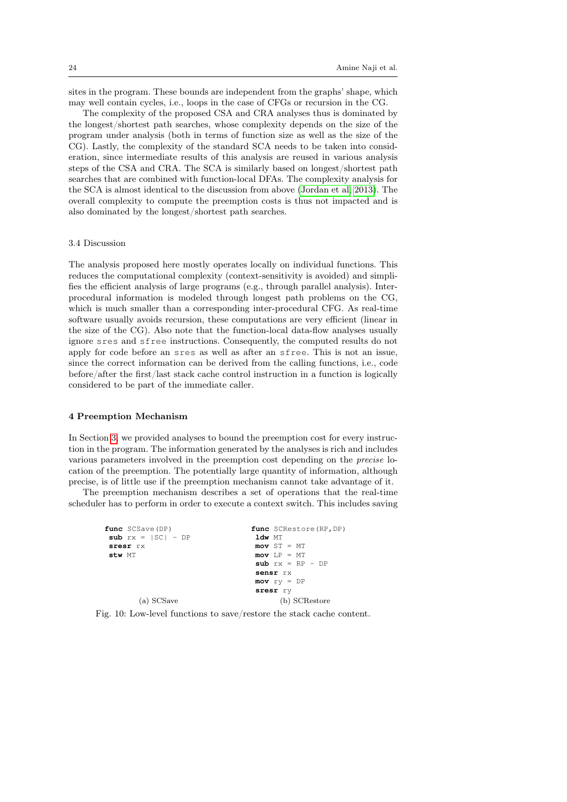sites in the program. These bounds are independent from the graphs' shape, which may well contain cycles, i.e., loops in the case of CFGs or recursion in the CG.

The complexity of the proposed CSA and CRA analyses thus is dominated by the longest/shortest path searches, whose complexity depends on the size of the program under analysis (both in terms of function size as well as the size of the CG). Lastly, the complexity of the standard SCA needs to be taken into consideration, since intermediate results of this analysis are reused in various analysis steps of the CSA and CRA. The SCA is similarly based on longest/shortest path searches that are combined with function-local DFAs. The complexity analysis for the SCA is almost identical to the discussion from above [\(Jordan et al, 2013\)](#page-40-4). The overall complexity to compute the preemption costs is thus not impacted and is also dominated by the longest/shortest path searches.

### <span id="page-23-2"></span>3.4 Discussion

The analysis proposed here mostly operates locally on individual functions. This reduces the computational complexity (context-sensitivity is avoided) and simplifies the efficient analysis of large programs (e.g., through parallel analysis). Interprocedural information is modeled through longest path problems on the CG, which is much smaller than a corresponding inter-procedural CFG. As real-time software usually avoids recursion, these computations are very efficient (linear in the size of the CG). Also note that the function-local data-flow analyses usually ignore sres and sfree instructions. Consequently, the computed results do not apply for code before an sres as well as after an sfree. This is not an issue, since the correct information can be derived from the calling functions, i.e., code before/after the first/last stack cache control instruction in a function is logically considered to be part of the immediate caller.

### <span id="page-23-0"></span>4 Preemption Mechanism

In Section [3,](#page-6-0) we provided analyses to bound the preemption cost for every instruction in the program. The information generated by the analyses is rich and includes various parameters involved in the preemption cost depending on the precise location of the preemption. The potentially large quantity of information, although precise, is of little use if the preemption mechanism cannot take advantage of it.

<span id="page-23-1"></span>The preemption mechanism describes a set of operations that the real-time scheduler has to perform in order to execute a context switch. This includes saving

| $sub$ $rx =  SC $ - DP<br>ldw MT        |                      |
|-----------------------------------------|----------------------|
| $mov ST = MT$<br>sresr rx               |                      |
| stw MT<br>$\text{mov}$ $\text{LP}$ = MT |                      |
|                                         | $sub$ $rx = RP - DP$ |
| sensr rx                                |                      |
| $mov$ $ry = DP$                         |                      |
| sresr ry                                |                      |
| (a) SCSave                              | (b) SCRestore        |

Fig. 10: Low-level functions to save/restore the stack cache content.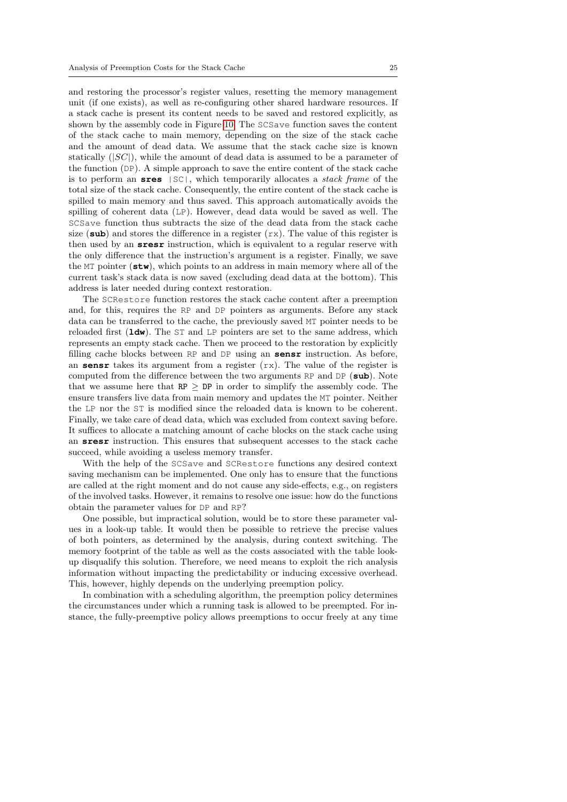and restoring the processor's register values, resetting the memory management unit (if one exists), as well as re-configuring other shared hardware resources. If a stack cache is present its content needs to be saved and restored explicitly, as shown by the assembly code in Figure [10.](#page-23-1) The SCSave function saves the content of the stack cache to main memory, depending on the size of the stack cache and the amount of dead data. We assume that the stack cache size is known statically  $(|SC|)$ , while the amount of dead data is assumed to be a parameter of the function (DP). A simple approach to save the entire content of the stack cache is to perform an **sres** |SC|, which temporarily allocates a stack frame of the total size of the stack cache. Consequently, the entire content of the stack cache is spilled to main memory and thus saved. This approach automatically avoids the spilling of coherent data (LP). However, dead data would be saved as well. The SCSave function thus subtracts the size of the dead data from the stack cache size (sub) and stores the difference in a register  $(rx)$ . The value of this register is then used by an **sresr** instruction, which is equivalent to a regular reserve with the only difference that the instruction's argument is a register. Finally, we save the MT pointer (**stw**), which points to an address in main memory where all of the current task's stack data is now saved (excluding dead data at the bottom). This address is later needed during context restoration.

The SCRestore function restores the stack cache content after a preemption and, for this, requires the RP and DP pointers as arguments. Before any stack data can be transferred to the cache, the previously saved MT pointer needs to be reloaded first (**ldw**). The ST and LP pointers are set to the same address, which represents an empty stack cache. Then we proceed to the restoration by explicitly filling cache blocks between RP and DP using an **sensr** instruction. As before, an **sensr** takes its argument from a register (rx). The value of the register is computed from the difference between the two arguments RP and DP (**sub**). Note that we assume here that  $RP \geq DP$  in order to simplify the assembly code. The ensure transfers live data from main memory and updates the MT pointer. Neither the LP nor the ST is modified since the reloaded data is known to be coherent. Finally, we take care of dead data, which was excluded from context saving before. It suffices to allocate a matching amount of cache blocks on the stack cache using an **sresr** instruction. This ensures that subsequent accesses to the stack cache succeed, while avoiding a useless memory transfer.

With the help of the SCSave and SCRestore functions any desired context saving mechanism can be implemented. One only has to ensure that the functions are called at the right moment and do not cause any side-effects, e.g., on registers of the involved tasks. However, it remains to resolve one issue: how do the functions obtain the parameter values for DP and RP?

One possible, but impractical solution, would be to store these parameter values in a look-up table. It would then be possible to retrieve the precise values of both pointers, as determined by the analysis, during context switching. The memory footprint of the table as well as the costs associated with the table lookup disqualify this solution. Therefore, we need means to exploit the rich analysis information without impacting the predictability or inducing excessive overhead. This, however, highly depends on the underlying preemption policy.

In combination with a scheduling algorithm, the preemption policy determines the circumstances under which a running task is allowed to be preempted. For instance, the fully-preemptive policy allows preemptions to occur freely at any time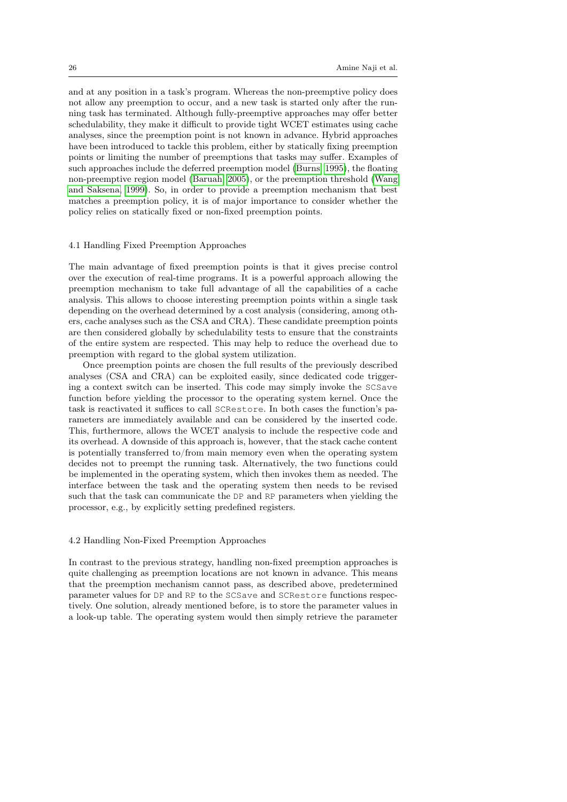and at any position in a task's program. Whereas the non-preemptive policy does not allow any preemption to occur, and a new task is started only after the running task has terminated. Although fully-preemptive approaches may offer better schedulability, they make it difficult to provide tight WCET estimates using cache analyses, since the preemption point is not known in advance. Hybrid approaches have been introduced to tackle this problem, either by statically fixing preemption points or limiting the number of preemptions that tasks may suffer. Examples of such approaches include the deferred preemption model [\(Burns, 1995\)](#page-40-10), the floating non-preemptive region model [\(Baruah, 2005\)](#page-40-11), or the preemption threshold [\(Wang](#page-41-7) [and Saksena, 1999\)](#page-41-7). So, in order to provide a preemption mechanism that best matches a preemption policy, it is of major importance to consider whether the policy relies on statically fixed or non-fixed preemption points.

### 4.1 Handling Fixed Preemption Approaches

The main advantage of fixed preemption points is that it gives precise control over the execution of real-time programs. It is a powerful approach allowing the preemption mechanism to take full advantage of all the capabilities of a cache analysis. This allows to choose interesting preemption points within a single task depending on the overhead determined by a cost analysis (considering, among others, cache analyses such as the CSA and CRA). These candidate preemption points are then considered globally by schedulability tests to ensure that the constraints of the entire system are respected. This may help to reduce the overhead due to preemption with regard to the global system utilization.

Once preemption points are chosen the full results of the previously described analyses (CSA and CRA) can be exploited easily, since dedicated code triggering a context switch can be inserted. This code may simply invoke the SCSave function before yielding the processor to the operating system kernel. Once the task is reactivated it suffices to call SCRestore. In both cases the function's parameters are immediately available and can be considered by the inserted code. This, furthermore, allows the WCET analysis to include the respective code and its overhead. A downside of this approach is, however, that the stack cache content is potentially transferred to/from main memory even when the operating system decides not to preempt the running task. Alternatively, the two functions could be implemented in the operating system, which then invokes them as needed. The interface between the task and the operating system then needs to be revised such that the task can communicate the DP and RP parameters when yielding the processor, e.g., by explicitly setting predefined registers.

### 4.2 Handling Non-Fixed Preemption Approaches

In contrast to the previous strategy, handling non-fixed preemption approaches is quite challenging as preemption locations are not known in advance. This means that the preemption mechanism cannot pass, as described above, predetermined parameter values for DP and RP to the SCSave and SCRestore functions respectively. One solution, already mentioned before, is to store the parameter values in a look-up table. The operating system would then simply retrieve the parameter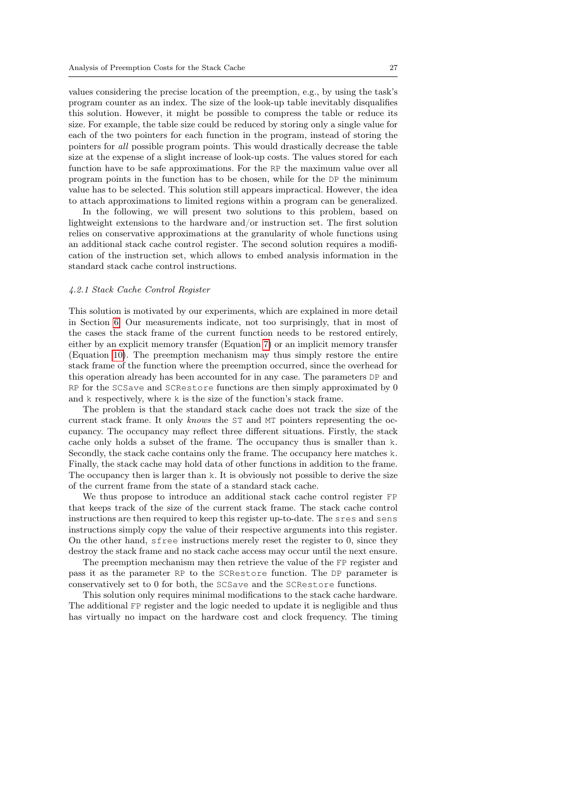values considering the precise location of the preemption, e.g., by using the task's program counter as an index. The size of the look-up table inevitably disqualifies this solution. However, it might be possible to compress the table or reduce its size. For example, the table size could be reduced by storing only a single value for each of the two pointers for each function in the program, instead of storing the pointers for all possible program points. This would drastically decrease the table size at the expense of a slight increase of look-up costs. The values stored for each function have to be safe approximations. For the RP the maximum value over all program points in the function has to be chosen, while for the DP the minimum value has to be selected. This solution still appears impractical. However, the idea to attach approximations to limited regions within a program can be generalized.

In the following, we will present two solutions to this problem, based on lightweight extensions to the hardware and/or instruction set. The first solution relies on conservative approximations at the granularity of whole functions using an additional stack cache control register. The second solution requires a modification of the instruction set, which allows to embed analysis information in the standard stack cache control instructions.

#### 4.2.1 Stack Cache Control Register

This solution is motivated by our experiments, which are explained in more detail in Section [6.](#page-30-0) Our measurements indicate, not too surprisingly, that in most of the cases the stack frame of the current function needs to be restored entirely, either by an explicit memory transfer (Equation [7\)](#page-13-0) or an implicit memory transfer (Equation [10\)](#page-15-1). The preemption mechanism may thus simply restore the entire stack frame of the function where the preemption occurred, since the overhead for this operation already has been accounted for in any case. The parameters DP and RP for the SCSave and SCRestore functions are then simply approximated by 0 and k respectively, where k is the size of the function's stack frame.

The problem is that the standard stack cache does not track the size of the current stack frame. It only knows the ST and MT pointers representing the occupancy. The occupancy may reflect three different situations. Firstly, the stack cache only holds a subset of the frame. The occupancy thus is smaller than k. Secondly, the stack cache contains only the frame. The occupancy here matches k. Finally, the stack cache may hold data of other functions in addition to the frame. The occupancy then is larger than k. It is obviously not possible to derive the size of the current frame from the state of a standard stack cache.

We thus propose to introduce an additional stack cache control register FP that keeps track of the size of the current stack frame. The stack cache control instructions are then required to keep this register up-to-date. The sres and sens instructions simply copy the value of their respective arguments into this register. On the other hand, sfree instructions merely reset the register to 0, since they destroy the stack frame and no stack cache access may occur until the next ensure.

The preemption mechanism may then retrieve the value of the FP register and pass it as the parameter RP to the SCRestore function. The DP parameter is conservatively set to 0 for both, the SCSave and the SCRestore functions.

This solution only requires minimal modifications to the stack cache hardware. The additional FP register and the logic needed to update it is negligible and thus has virtually no impact on the hardware cost and clock frequency. The timing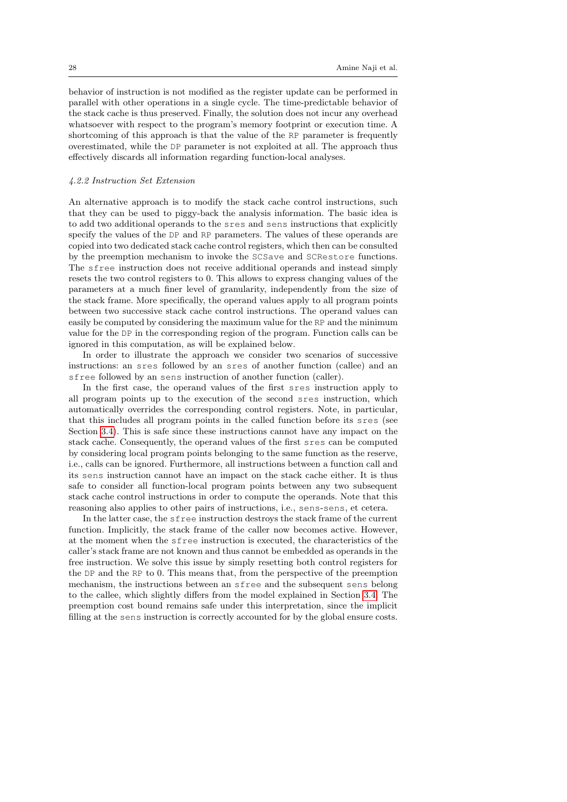behavior of instruction is not modified as the register update can be performed in parallel with other operations in a single cycle. The time-predictable behavior of the stack cache is thus preserved. Finally, the solution does not incur any overhead whatsoever with respect to the program's memory footprint or execution time. A shortcoming of this approach is that the value of the RP parameter is frequently overestimated, while the DP parameter is not exploited at all. The approach thus effectively discards all information regarding function-local analyses.

#### 4.2.2 Instruction Set Extension

An alternative approach is to modify the stack cache control instructions, such that they can be used to piggy-back the analysis information. The basic idea is to add two additional operands to the sres and sens instructions that explicitly specify the values of the DP and RP parameters. The values of these operands are copied into two dedicated stack cache control registers, which then can be consulted by the preemption mechanism to invoke the SCSave and SCRestore functions. The sfree instruction does not receive additional operands and instead simply resets the two control registers to 0. This allows to express changing values of the parameters at a much finer level of granularity, independently from the size of the stack frame. More specifically, the operand values apply to all program points between two successive stack cache control instructions. The operand values can easily be computed by considering the maximum value for the RP and the minimum value for the DP in the corresponding region of the program. Function calls can be ignored in this computation, as will be explained below.

In order to illustrate the approach we consider two scenarios of successive instructions: an sres followed by an sres of another function (callee) and an sfree followed by an sens instruction of another function (caller).

In the first case, the operand values of the first sres instruction apply to all program points up to the execution of the second sres instruction, which automatically overrides the corresponding control registers. Note, in particular, that this includes all program points in the called function before its sres (see Section [3.4\)](#page-23-2). This is safe since these instructions cannot have any impact on the stack cache. Consequently, the operand values of the first sres can be computed by considering local program points belonging to the same function as the reserve, i.e., calls can be ignored. Furthermore, all instructions between a function call and its sens instruction cannot have an impact on the stack cache either. It is thus safe to consider all function-local program points between any two subsequent stack cache control instructions in order to compute the operands. Note that this reasoning also applies to other pairs of instructions, i.e., sens-sens, et cetera.

In the latter case, the sfree instruction destroys the stack frame of the current function. Implicitly, the stack frame of the caller now becomes active. However, at the moment when the sfree instruction is executed, the characteristics of the caller's stack frame are not known and thus cannot be embedded as operands in the free instruction. We solve this issue by simply resetting both control registers for the DP and the RP to 0. This means that, from the perspective of the preemption mechanism, the instructions between an sfree and the subsequent sens belong to the callee, which slightly differs from the model explained in Section [3.4.](#page-23-2) The preemption cost bound remains safe under this interpretation, since the implicit filling at the sens instruction is correctly accounted for by the global ensure costs.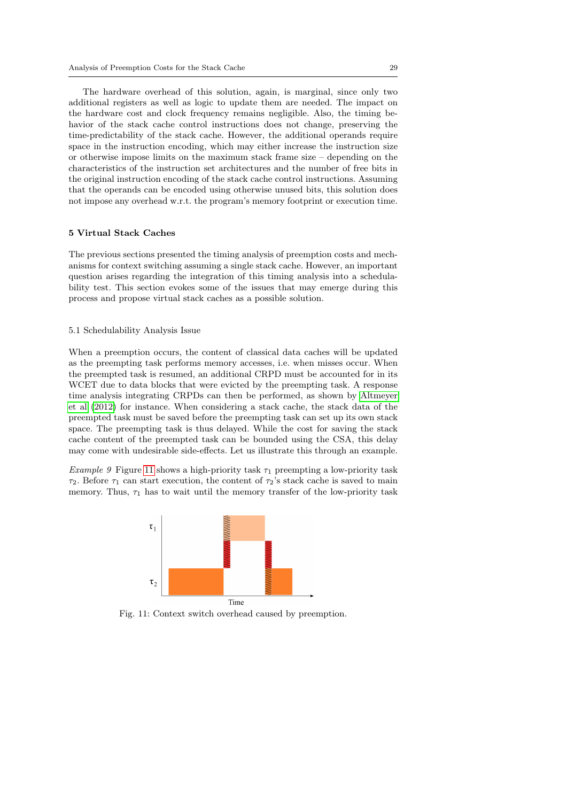The hardware overhead of this solution, again, is marginal, since only two additional registers as well as logic to update them are needed. The impact on the hardware cost and clock frequency remains negligible. Also, the timing behavior of the stack cache control instructions does not change, preserving the time-predictability of the stack cache. However, the additional operands require space in the instruction encoding, which may either increase the instruction size or otherwise impose limits on the maximum stack frame size – depending on the characteristics of the instruction set architectures and the number of free bits in the original instruction encoding of the stack cache control instructions. Assuming that the operands can be encoded using otherwise unused bits, this solution does not impose any overhead w.r.t. the program's memory footprint or execution time.

### <span id="page-28-0"></span>5 Virtual Stack Caches

The previous sections presented the timing analysis of preemption costs and mechanisms for context switching assuming a single stack cache. However, an important question arises regarding the integration of this timing analysis into a schedulability test. This section evokes some of the issues that may emerge during this process and propose virtual stack caches as a possible solution.

#### 5.1 Schedulability Analysis Issue

When a preemption occurs, the content of classical data caches will be updated as the preempting task performs memory accesses, i.e. when misses occur. When the preempted task is resumed, an additional CRPD must be accounted for in its WCET due to data blocks that were evicted by the preempting task. A response time analysis integrating CRPDs can then be performed, as shown by [Altmeyer](#page-40-12) [et al](#page-40-12) [\(2012\)](#page-40-12) for instance. When considering a stack cache, the stack data of the preempted task must be saved before the preempting task can set up its own stack space. The preempting task is thus delayed. While the cost for saving the stack cache content of the preempted task can be bounded using the CSA, this delay may come with undesirable side-effects. Let us illustrate this through an example.

<span id="page-28-1"></span>Example 9 Figure [11](#page-28-1) shows a high-priority task  $\tau_1$  preempting a low-priority task  $\tau_2$ . Before  $\tau_1$  can start execution, the content of  $\tau_2$ 's stack cache is saved to main memory. Thus,  $\tau_1$  has to wait until the memory transfer of the low-priority task



Fig. 11: Context switch overhead caused by preemption.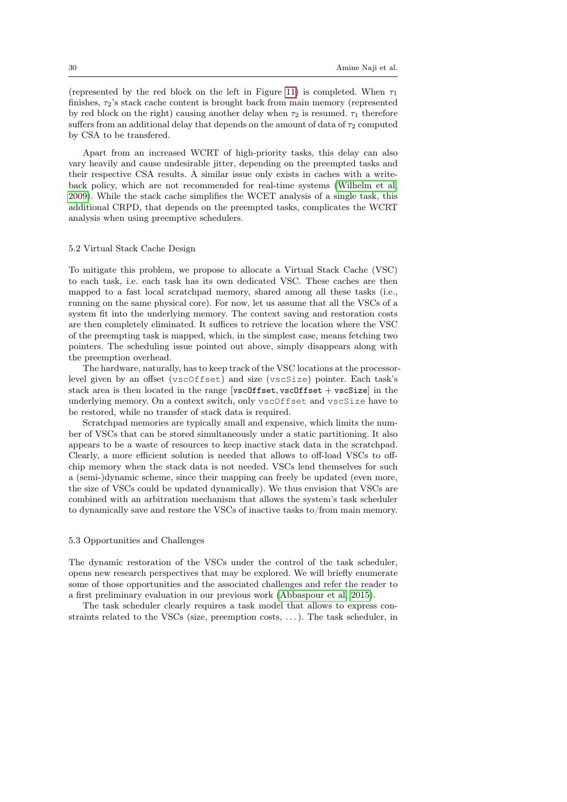(represented by the red block on the left in Figure [11\)](#page-28-1) is completed. When  $\tau_1$ finishes,  $\tau_2$ 's stack cache content is brought back from main memory (represented by red block on the right) causing another delay when  $\tau_2$  is resumed.  $\tau_1$  therefore suffers from an additional delay that depends on the amount of data of  $\tau_2$  computed by CSA to be transfered.

Apart from an increased WCRT of high-priority tasks, this delay can also vary heavily and cause undesirable jitter, depending on the preempted tasks and their respective CSA results. A similar issue only exists in caches with a writeback policy, which are not recommended for real-time systems [\(Wilhelm et al,](#page-41-0) [2009\)](#page-41-0). While the stack cache simplifies the WCET analysis of a single task, this additional CRPD, that depends on the preempted tasks, complicates the WCRT analysis when using preemptive schedulers.

### 5.2 Virtual Stack Cache Design

To mitigate this problem, we propose to allocate a Virtual Stack Cache (VSC) to each task, i.e. each task has its own dedicated VSC. These caches are then mapped to a fast local scratchpad memory, shared among all these tasks (i.e., running on the same physical core). For now, let us assume that all the VSCs of a system fit into the underlying memory. The context saving and restoration costs are then completely eliminated. It suffices to retrieve the location where the VSC of the preempting task is mapped, which, in the simplest case, means fetching two pointers. The scheduling issue pointed out above, simply disappears along with the preemption overhead.

The hardware, naturally, has to keep track of the VSC locations at the processorlevel given by an offset (vscOffset) and size (vscSize) pointer. Each task's stack area is then located in the range [vscOffset, vscOffset + vscSize] in the underlying memory. On a context switch, only vscOffset and vscSize have to be restored, while no transfer of stack data is required.

Scratchpad memories are typically small and expensive, which limits the number of VSCs that can be stored simultaneously under a static partitioning. It also appears to be a waste of resources to keep inactive stack data in the scratchpad. Clearly, a more efficient solution is needed that allows to off-load VSCs to offchip memory when the stack data is not needed. VSCs lend themselves for such a (semi-)dynamic scheme, since their mapping can freely be updated (even more, the size of VSCs could be updated dynamically). We thus envision that VSCs are combined with an arbitration mechanism that allows the system's task scheduler to dynamically save and restore the VSCs of inactive tasks to/from main memory.

### 5.3 Opportunities and Challenges

The dynamic restoration of the VSCs under the control of the task scheduler, opens new research perspectives that may be explored. We will briefly enumerate some of those opportunities and the associated challenges and refer the reader to a first preliminary evaluation in our previous work [\(Abbaspour et al, 2015\)](#page-40-0).

The task scheduler clearly requires a task model that allows to express constraints related to the VSCs (size, preemption costs, . . . ). The task scheduler, in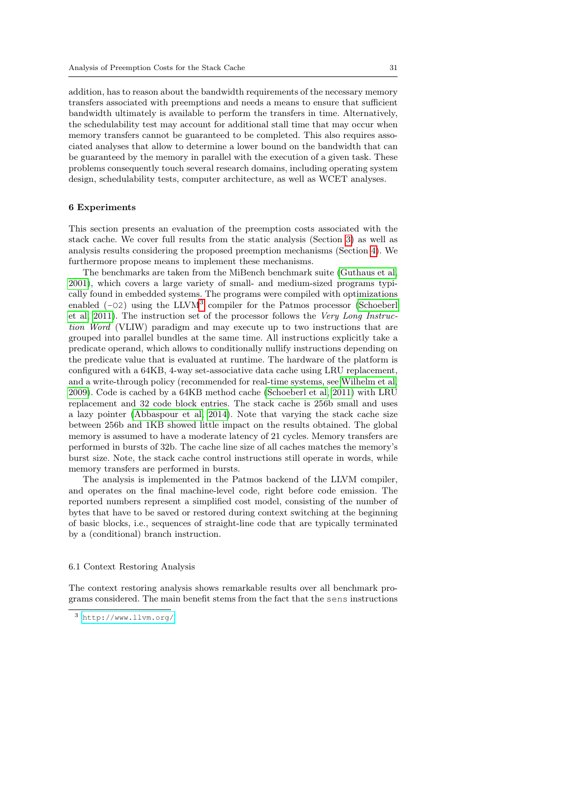addition, has to reason about the bandwidth requirements of the necessary memory transfers associated with preemptions and needs a means to ensure that sufficient bandwidth ultimately is available to perform the transfers in time. Alternatively, the schedulability test may account for additional stall time that may occur when memory transfers cannot be guaranteed to be completed. This also requires associated analyses that allow to determine a lower bound on the bandwidth that can be guaranteed by the memory in parallel with the execution of a given task. These problems consequently touch several research domains, including operating system design, schedulability tests, computer architecture, as well as WCET analyses.

#### <span id="page-30-0"></span>6 Experiments

This section presents an evaluation of the preemption costs associated with the stack cache. We cover full results from the static analysis (Section [3\)](#page-6-0) as well as analysis results considering the proposed preemption mechanisms (Section [4\)](#page-23-0). We furthermore propose means to implement these mechanisms.

The benchmarks are taken from the MiBench benchmark suite [\(Guthaus et al,](#page-40-13) [2001\)](#page-40-13), which covers a large variety of small- and medium-sized programs typically found in embedded systems. The programs were compiled with optimizations enabled  $(-02)$  using the LLVM<sup>[3](#page-30-1)</sup> compiler for the Patmos processor [\(Schoeberl](#page-41-1) [et al, 2011\)](#page-41-1). The instruction set of the processor follows the Very Long Instruction Word (VLIW) paradigm and may execute up to two instructions that are grouped into parallel bundles at the same time. All instructions explicitly take a predicate operand, which allows to conditionally nullify instructions depending on the predicate value that is evaluated at runtime. The hardware of the platform is configured with a 64KB, 4-way set-associative data cache using LRU replacement, and a write-through policy (recommended for real-time systems, see [Wilhelm et al,](#page-41-0) [2009\)](#page-41-0). Code is cached by a 64KB method cache [\(Schoeberl et al, 2011\)](#page-41-1) with LRU replacement and 32 code block entries. The stack cache is 256b small and uses a lazy pointer [\(Abbaspour et al, 2014\)](#page-40-2). Note that varying the stack cache size between 256b and 1KB showed little impact on the results obtained. The global memory is assumed to have a moderate latency of 21 cycles. Memory transfers are performed in bursts of 32b. The cache line size of all caches matches the memory's burst size. Note, the stack cache control instructions still operate in words, while memory transfers are performed in bursts.

The analysis is implemented in the Patmos backend of the LLVM compiler, and operates on the final machine-level code, right before code emission. The reported numbers represent a simplified cost model, consisting of the number of bytes that have to be saved or restored during context switching at the beginning of basic blocks, i.e., sequences of straight-line code that are typically terminated by a (conditional) branch instruction.

### 6.1 Context Restoring Analysis

The context restoring analysis shows remarkable results over all benchmark programs considered. The main benefit stems from the fact that the sens instructions

<span id="page-30-1"></span><sup>3</sup> <http://www.llvm.org/>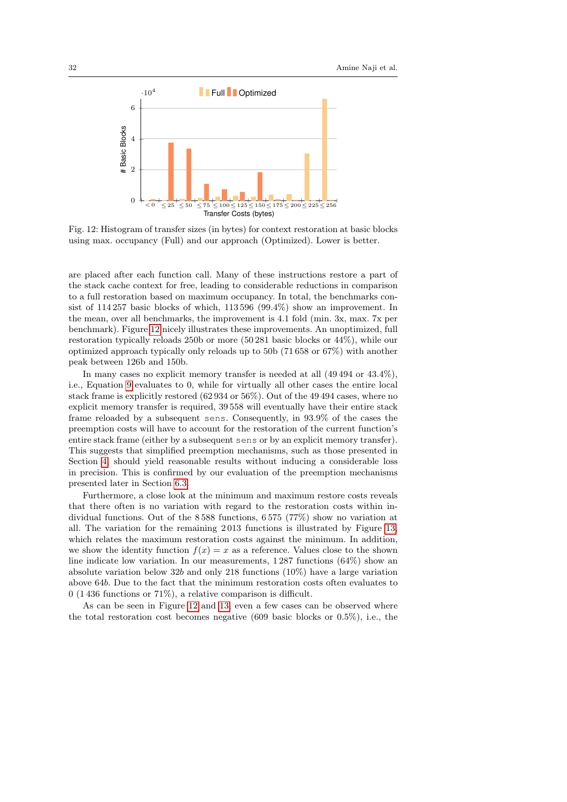<span id="page-31-0"></span>

Fig. 12: Histogram of transfer sizes (in bytes) for context restoration at basic blocks using max. occupancy (Full) and our approach (Optimized). Lower is better.

are placed after each function call. Many of these instructions restore a part of the stack cache context for free, leading to considerable reductions in comparison to a full restoration based on maximum occupancy. In total, the benchmarks consist of 114 257 basic blocks of which, 113 596 (99.4%) show an improvement. In the mean, over all benchmarks, the improvement is 4.1 fold (min. 3x, max. 7x per benchmark). Figure [12](#page-31-0) nicely illustrates these improvements. An unoptimized, full restoration typically reloads 250b or more (50 281 basic blocks or 44%), while our optimized approach typically only reloads up to 50b (71 658 or 67%) with another peak between 126b and 150b.

In many cases no explicit memory transfer is needed at all (49 494 or 43.4%), i.e., Equation [9](#page-13-1) evaluates to 0, while for virtually all other cases the entire local stack frame is explicitly restored (62 934 or 56%). Out of the 49 494 cases, where no explicit memory transfer is required, 39 558 will eventually have their entire stack frame reloaded by a subsequent sens. Consequently, in 93.9% of the cases the preemption costs will have to account for the restoration of the current function's entire stack frame (either by a subsequent sens or by an explicit memory transfer). This suggests that simplified preemption mechanisms, such as those presented in Section [4,](#page-23-0) should yield reasonable results without inducing a considerable loss in precision. This is confirmed by our evaluation of the preemption mechanisms presented later in Section [6.3.](#page-33-0)

Furthermore, a close look at the minimum and maximum restore costs reveals that there often is no variation with regard to the restoration costs within individual functions. Out of the 8 588 functions, 6 575 (77%) show no variation at all. The variation for the remaining 2 013 functions is illustrated by Figure [13,](#page-32-0) which relates the maximum restoration costs against the minimum. In addition, we show the identity function  $f(x) = x$  as a reference. Values close to the shown line indicate low variation. In our measurements, 1 287 functions (64%) show an absolute variation below 32b and only 218 functions  $(10\%)$  have a large variation above 64b. Due to the fact that the minimum restoration costs often evaluates to 0 (1 436 functions or 71%), a relative comparison is difficult.

As can be seen in Figure [12](#page-31-0) and [13,](#page-32-0) even a few cases can be observed where the total restoration cost becomes negative (609 basic blocks or 0.5%), i.e., the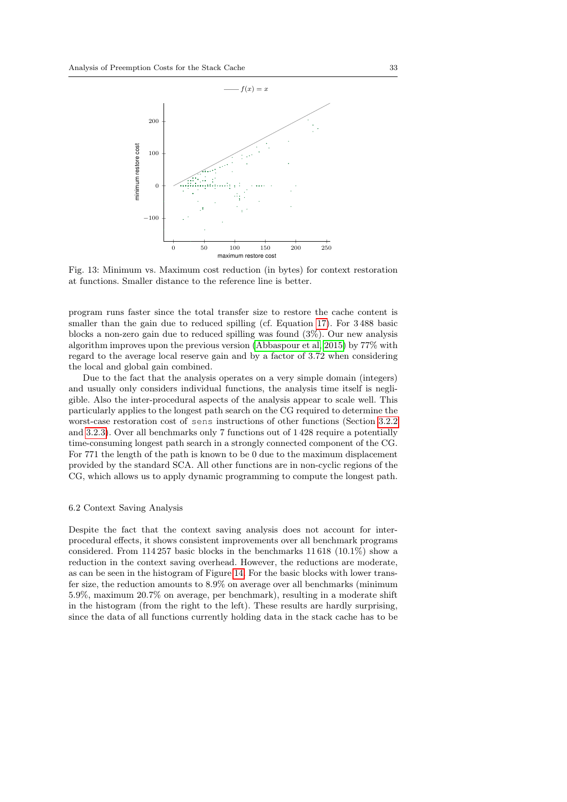<span id="page-32-0"></span>

Fig. 13: Minimum vs. Maximum cost reduction (in bytes) for context restoration at functions. Smaller distance to the reference line is better.

program runs faster since the total transfer size to restore the cache content is smaller than the gain due to reduced spilling (cf. Equation [17\)](#page-18-4). For 3 488 basic blocks a non-zero gain due to reduced spilling was found (3%). Our new analysis algorithm improves upon the previous version [\(Abbaspour et al, 2015\)](#page-40-0) by 77% with regard to the average local reserve gain and by a factor of 3.72 when considering the local and global gain combined.

Due to the fact that the analysis operates on a very simple domain (integers) and usually only considers individual functions, the analysis time itself is negligible. Also the inter-procedural aspects of the analysis appear to scale well. This particularly applies to the longest path search on the CG required to determine the worst-case restoration cost of sens instructions of other functions (Section [3.2.2](#page-15-0) and [3.2.3\)](#page-17-0). Over all benchmarks only 7 functions out of 1 428 require a potentially time-consuming longest path search in a strongly connected component of the CG. For 771 the length of the path is known to be 0 due to the maximum displacement provided by the standard SCA. All other functions are in non-cyclic regions of the CG, which allows us to apply dynamic programming to compute the longest path.

### 6.2 Context Saving Analysis

Despite the fact that the context saving analysis does not account for interprocedural effects, it shows consistent improvements over all benchmark programs considered. From 114 257 basic blocks in the benchmarks 11 618 (10.1%) show a reduction in the context saving overhead. However, the reductions are moderate, as can be seen in the histogram of Figure [14.](#page-33-1) For the basic blocks with lower transfer size, the reduction amounts to 8.9% on average over all benchmarks (minimum 5.9%, maximum 20.7% on average, per benchmark), resulting in a moderate shift in the histogram (from the right to the left). These results are hardly surprising, since the data of all functions currently holding data in the stack cache has to be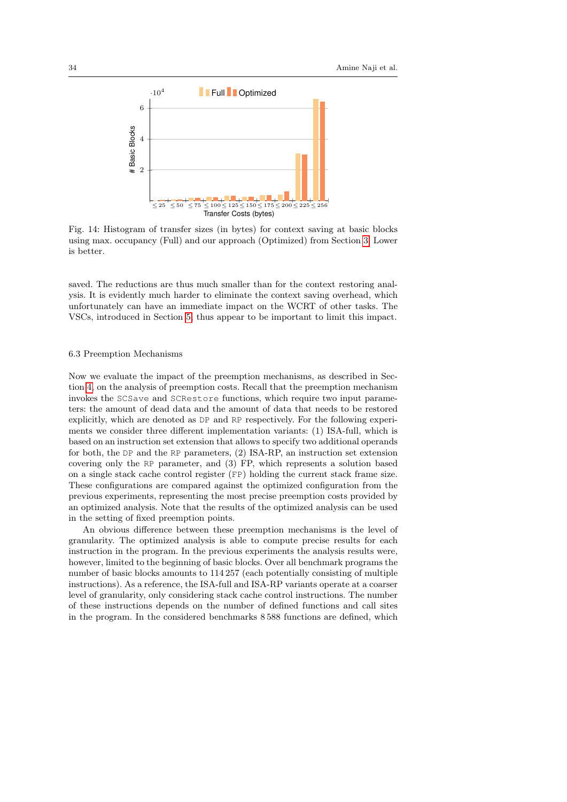<span id="page-33-1"></span>

Fig. 14: Histogram of transfer sizes (in bytes) for context saving at basic blocks using max. occupancy (Full) and our approach (Optimized) from Section [3.](#page-6-0) Lower is better.

saved. The reductions are thus much smaller than for the context restoring analysis. It is evidently much harder to eliminate the context saving overhead, which unfortunately can have an immediate impact on the WCRT of other tasks. The VSCs, introduced in Section [5,](#page-28-0) thus appear to be important to limit this impact.

#### <span id="page-33-0"></span>6.3 Preemption Mechanisms

Now we evaluate the impact of the preemption mechanisms, as described in Section [4,](#page-23-0) on the analysis of preemption costs. Recall that the preemption mechanism invokes the SCSave and SCRestore functions, which require two input parameters: the amount of dead data and the amount of data that needs to be restored explicitly, which are denoted as DP and RP respectively. For the following experiments we consider three different implementation variants: (1) ISA-full, which is based on an instruction set extension that allows to specify two additional operands for both, the DP and the RP parameters, (2) ISA-RP, an instruction set extension covering only the RP parameter, and (3) FP, which represents a solution based on a single stack cache control register (FP) holding the current stack frame size. These configurations are compared against the optimized configuration from the previous experiments, representing the most precise preemption costs provided by an optimized analysis. Note that the results of the optimized analysis can be used in the setting of fixed preemption points.

An obvious difference between these preemption mechanisms is the level of granularity. The optimized analysis is able to compute precise results for each instruction in the program. In the previous experiments the analysis results were, however, limited to the beginning of basic blocks. Over all benchmark programs the number of basic blocks amounts to 114 257 (each potentially consisting of multiple instructions). As a reference, the ISA-full and ISA-RP variants operate at a coarser level of granularity, only considering stack cache control instructions. The number of these instructions depends on the number of defined functions and call sites in the program. In the considered benchmarks 8 588 functions are defined, which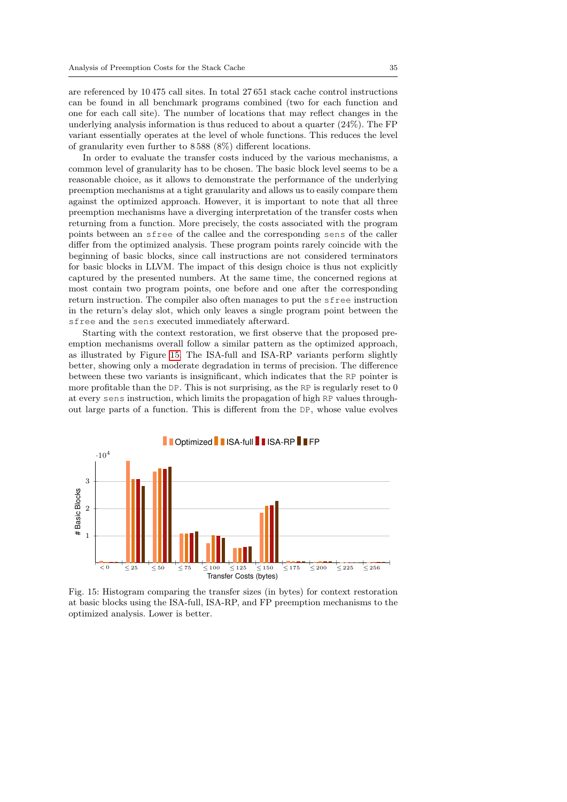are referenced by 10 475 call sites. In total 27 651 stack cache control instructions can be found in all benchmark programs combined (two for each function and one for each call site). The number of locations that may reflect changes in the underlying analysis information is thus reduced to about a quarter  $(24\%)$ . The FP variant essentially operates at the level of whole functions. This reduces the level of granularity even further to 8 588 (8%) different locations.

In order to evaluate the transfer costs induced by the various mechanisms, a common level of granularity has to be chosen. The basic block level seems to be a reasonable choice, as it allows to demonstrate the performance of the underlying preemption mechanisms at a tight granularity and allows us to easily compare them against the optimized approach. However, it is important to note that all three preemption mechanisms have a diverging interpretation of the transfer costs when returning from a function. More precisely, the costs associated with the program points between an sfree of the callee and the corresponding sens of the caller differ from the optimized analysis. These program points rarely coincide with the beginning of basic blocks, since call instructions are not considered terminators for basic blocks in LLVM. The impact of this design choice is thus not explicitly captured by the presented numbers. At the same time, the concerned regions at most contain two program points, one before and one after the corresponding return instruction. The compiler also often manages to put the sfree instruction in the return's delay slot, which only leaves a single program point between the sfree and the sens executed immediately afterward.

Starting with the context restoration, we first observe that the proposed preemption mechanisms overall follow a similar pattern as the optimized approach, as illustrated by Figure [15.](#page-34-0) The ISA-full and ISA-RP variants perform slightly better, showing only a moderate degradation in terms of precision. The difference between these two variants is insignificant, which indicates that the RP pointer is more profitable than the DP. This is not surprising, as the RP is regularly reset to  $0$ at every sens instruction, which limits the propagation of high RP values throughout large parts of a function. This is different from the DP, whose value evolves

<span id="page-34-0"></span>

Fig. 15: Histogram comparing the transfer sizes (in bytes) for context restoration at basic blocks using the ISA-full, ISA-RP, and FP preemption mechanisms to the optimized analysis. Lower is better.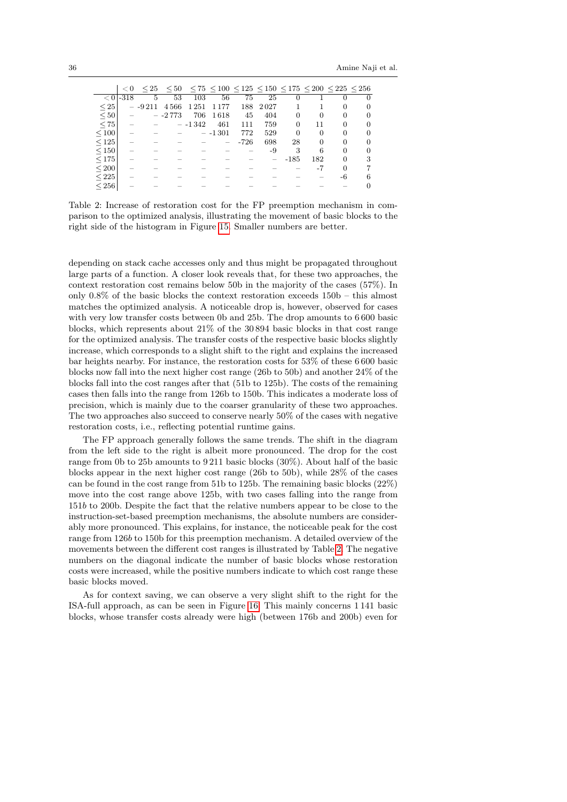<span id="page-35-0"></span>

|                   | < 0    | $\leq 25$ | $\leq 50$ |         | $\langle 75 \times 100 \times 125 \times 150 \times 175 \times 200 \times 225 \times 256 \rangle$ |      |      |          |          |    |   |
|-------------------|--------|-----------|-----------|---------|---------------------------------------------------------------------------------------------------|------|------|----------|----------|----|---|
| < 0               | $-318$ | 5         | 53        | 103     | 56                                                                                                | 75   | 25   | $\Omega$ |          |    | 0 |
| $\leq 25$         |        | $-9211$   | 4566      | 1251    | 1 1 7 7                                                                                           | 188  | 2027 |          |          | 0  |   |
| < 50 <sub>1</sub> |        |           | $-2773$   | 706     | 1618                                                                                              | 45   | 404  | $\Omega$ | $\Omega$ |    |   |
| < 75              |        |           |           | $-1342$ | 461                                                                                               | 111  | 759  | $\Omega$ | 11       |    |   |
| ${}_{\leq 100}$   |        |           |           |         | $-1301$                                                                                           | 772  | 529  | $\Omega$ | $\Omega$ |    |   |
| < 125             |        |           |           |         |                                                                                                   | -726 | 698  | 28       | $\Omega$ |    |   |
| $\leq 150$        |        |           |           |         |                                                                                                   |      | -9   | 3        | 6        |    |   |
| < 175             |        |           |           |         |                                                                                                   |      |      | $-185$   | 182      |    | 3 |
| $\leq 200$        |        |           |           |         |                                                                                                   |      |      |          | $-7$     |    |   |
| $\leq$ 225        |        |           |           |         |                                                                                                   |      |      |          |          | -6 | 6 |
| $\leq 256$        |        |           |           |         |                                                                                                   |      |      |          |          |    |   |

Table 2: Increase of restoration cost for the FP preemption mechanism in comparison to the optimized analysis, illustrating the movement of basic blocks to the right side of the histogram in Figure [15.](#page-34-0) Smaller numbers are better.

depending on stack cache accesses only and thus might be propagated throughout large parts of a function. A closer look reveals that, for these two approaches, the context restoration cost remains below 50b in the majority of the cases (57%). In only 0.8% of the basic blocks the context restoration exceeds 150b – this almost matches the optimized analysis. A noticeable drop is, however, observed for cases with very low transfer costs between 0b and 25b. The drop amounts to 6 600 basic blocks, which represents about 21% of the 30 894 basic blocks in that cost range for the optimized analysis. The transfer costs of the respective basic blocks slightly increase, which corresponds to a slight shift to the right and explains the increased bar heights nearby. For instance, the restoration costs for 53% of these 6 600 basic blocks now fall into the next higher cost range (26b to 50b) and another 24% of the blocks fall into the cost ranges after that (51b to 125b). The costs of the remaining cases then falls into the range from 126b to 150b. This indicates a moderate loss of precision, which is mainly due to the coarser granularity of these two approaches. The two approaches also succeed to conserve nearly 50% of the cases with negative restoration costs, i.e., reflecting potential runtime gains.

The FP approach generally follows the same trends. The shift in the diagram from the left side to the right is albeit more pronounced. The drop for the cost range from 0b to 25b amounts to 9 211 basic blocks (30%). About half of the basic blocks appear in the next higher cost range (26b to 50b), while 28% of the cases can be found in the cost range from 51b to 125b. The remaining basic blocks (22%) move into the cost range above 125b, with two cases falling into the range from 151b to 200b. Despite the fact that the relative numbers appear to be close to the instruction-set-based preemption mechanisms, the absolute numbers are considerably more pronounced. This explains, for instance, the noticeable peak for the cost range from 126b to 150b for this preemption mechanism. A detailed overview of the movements between the different cost ranges is illustrated by Table [2.](#page-35-0) The negative numbers on the diagonal indicate the number of basic blocks whose restoration costs were increased, while the positive numbers indicate to which cost range these basic blocks moved.

As for context saving, we can observe a very slight shift to the right for the ISA-full approach, as can be seen in Figure [16.](#page-36-0) This mainly concerns 1 141 basic blocks, whose transfer costs already were high (between 176b and 200b) even for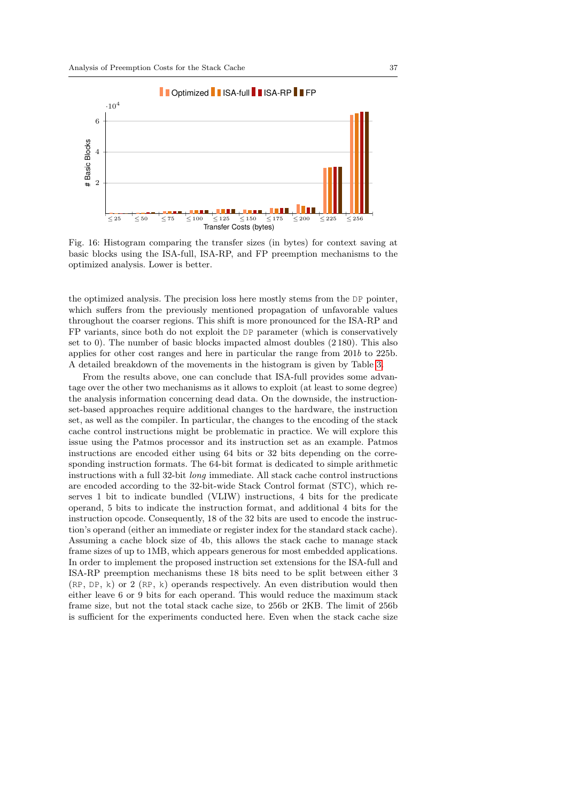<span id="page-36-0"></span>

Fig. 16: Histogram comparing the transfer sizes (in bytes) for context saving at basic blocks using the ISA-full, ISA-RP, and FP preemption mechanisms to the optimized analysis. Lower is better.

the optimized analysis. The precision loss here mostly stems from the DP pointer, which suffers from the previously mentioned propagation of unfavorable values throughout the coarser regions. This shift is more pronounced for the ISA-RP and FP variants, since both do not exploit the DP parameter (which is conservatively set to 0). The number of basic blocks impacted almost doubles (2 180). This also applies for other cost ranges and here in particular the range from 201b to 225b. A detailed breakdown of the movements in the histogram is given by Table [3.](#page-37-0)

From the results above, one can conclude that ISA-full provides some advantage over the other two mechanisms as it allows to exploit (at least to some degree) the analysis information concerning dead data. On the downside, the instructionset-based approaches require additional changes to the hardware, the instruction set, as well as the compiler. In particular, the changes to the encoding of the stack cache control instructions might be problematic in practice. We will explore this issue using the Patmos processor and its instruction set as an example. Patmos instructions are encoded either using 64 bits or 32 bits depending on the corresponding instruction formats. The 64-bit format is dedicated to simple arithmetic instructions with a full 32-bit long immediate. All stack cache control instructions are encoded according to the 32-bit-wide Stack Control format (STC), which reserves 1 bit to indicate bundled (VLIW) instructions, 4 bits for the predicate operand, 5 bits to indicate the instruction format, and additional 4 bits for the instruction opcode. Consequently, 18 of the 32 bits are used to encode the instruction's operand (either an immediate or register index for the standard stack cache). Assuming a cache block size of 4b, this allows the stack cache to manage stack frame sizes of up to 1MB, which appears generous for most embedded applications. In order to implement the proposed instruction set extensions for the ISA-full and ISA-RP preemption mechanisms these 18 bits need to be split between either 3 (RP, DP, k) or 2 (RP, k) operands respectively. An even distribution would then either leave 6 or 9 bits for each operand. This would reduce the maximum stack frame size, but not the total stack cache size, to 256b or 2KB. The limit of 256b is sufficient for the experiments conducted here. Even when the stack cache size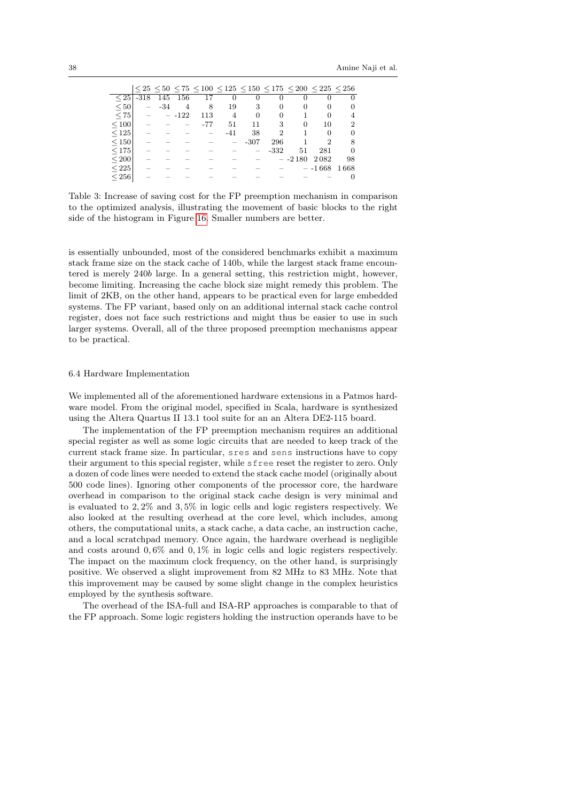<span id="page-37-0"></span>

|            |        |       |        |                 |          |          |        | $\leq$ 25 $\leq$ 50 $\leq$ 75 $\leq$ 100 $\leq$ 125 $\leq$ 150 $\leq$ 175 $\leq$ 200 $\leq$ 225 $\leq$ 256 |         |      |
|------------|--------|-------|--------|-----------------|----------|----------|--------|------------------------------------------------------------------------------------------------------------|---------|------|
| $\leq 25$  | $-318$ | 145   | 156    | $\overline{17}$ | $\theta$ | $\theta$ |        |                                                                                                            |         |      |
| $\leq 50$  |        | $-34$ | 4      | 8               | 19       | 3        | 0      | $\theta$                                                                                                   |         |      |
| < 75       |        |       | $-122$ | 113             | 4        | 0        |        |                                                                                                            |         |      |
| < 100      |        |       |        | $-77$           | 51       | 11       | 3      |                                                                                                            | 10      | 2    |
| < 125      |        |       |        |                 | $-41$    | 38       | 2      |                                                                                                            | 0       |      |
| < 150      |        |       |        |                 |          | $-307$   | 296    |                                                                                                            | 2       |      |
| < 175      |        |       |        |                 |          |          | $-332$ | 51                                                                                                         | 281     |      |
| $\leq 200$ |        |       |        |                 |          |          |        | $-2180$                                                                                                    | 2082    | 98   |
| $\leq$ 225 |        |       |        |                 |          |          |        |                                                                                                            | $-1668$ | 1668 |
| $\leq 256$ |        |       |        |                 |          |          |        |                                                                                                            |         |      |

Table 3: Increase of saving cost for the FP preemption mechanism in comparison to the optimized analysis, illustrating the movement of basic blocks to the right side of the histogram in Figure [16.](#page-36-0) Smaller numbers are better.

is essentially unbounded, most of the considered benchmarks exhibit a maximum stack frame size on the stack cache of 140b, while the largest stack frame encountered is merely 240b large. In a general setting, this restriction might, however, become limiting. Increasing the cache block size might remedy this problem. The limit of 2KB, on the other hand, appears to be practical even for large embedded systems. The FP variant, based only on an additional internal stack cache control register, does not face such restrictions and might thus be easier to use in such larger systems. Overall, all of the three proposed preemption mechanisms appear to be practical.

#### 6.4 Hardware Implementation

We implemented all of the aforementioned hardware extensions in a Patmos hardware model. From the original model, specified in Scala, hardware is synthesized using the Altera Quartus II 13.1 tool suite for an an Altera DE2-115 board.

The implementation of the FP preemption mechanism requires an additional special register as well as some logic circuits that are needed to keep track of the current stack frame size. In particular, sres and sens instructions have to copy their argument to this special register, while sfree reset the register to zero. Only a dozen of code lines were needed to extend the stack cache model (originally about 500 code lines). Ignoring other components of the processor core, the hardware overhead in comparison to the original stack cache design is very minimal and is evaluated to 2, 2% and 3, 5% in logic cells and logic registers respectively. We also looked at the resulting overhead at the core level, which includes, among others, the computational units, a stack cache, a data cache, an instruction cache, and a local scratchpad memory. Once again, the hardware overhead is negligible and costs around 0, 6% and 0, 1% in logic cells and logic registers respectively. The impact on the maximum clock frequency, on the other hand, is surprisingly positive. We observed a slight improvement from 82 MHz to 83 MHz. Note that this improvement may be caused by some slight change in the complex heuristics employed by the synthesis software.

The overhead of the ISA-full and ISA-RP approaches is comparable to that of the FP approach. Some logic registers holding the instruction operands have to be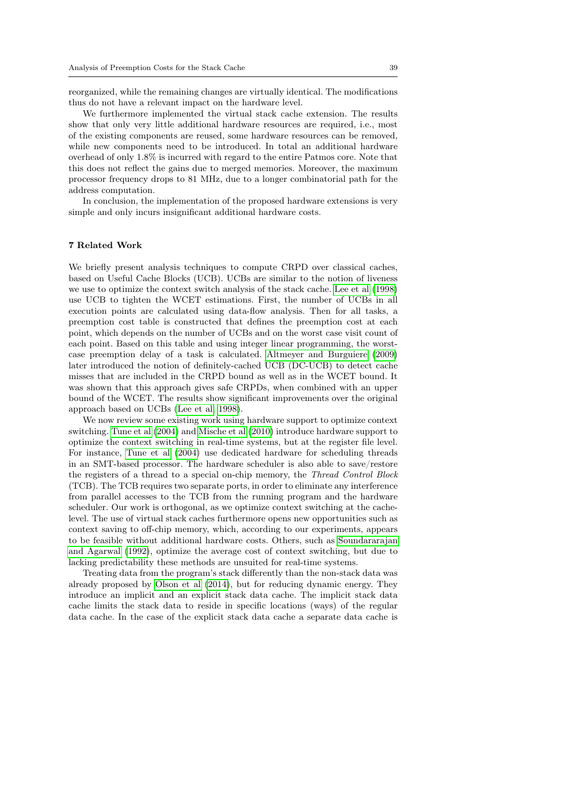reorganized, while the remaining changes are virtually identical. The modifications thus do not have a relevant impact on the hardware level.

We furthermore implemented the virtual stack cache extension. The results show that only very little additional hardware resources are required, i.e., most of the existing components are reused, some hardware resources can be removed, while new components need to be introduced. In total an additional hardware overhead of only 1.8% is incurred with regard to the entire Patmos core. Note that this does not reflect the gains due to merged memories. Moreover, the maximum processor frequency drops to 81 MHz, due to a longer combinatorial path for the address computation.

In conclusion, the implementation of the proposed hardware extensions is very simple and only incurs insignificant additional hardware costs.

### 7 Related Work

We briefly present analysis techniques to compute CRPD over classical caches, based on Useful Cache Blocks (UCB). UCBs are similar to the notion of liveness we use to optimize the context switch analysis of the stack cache. [Lee et al](#page-40-5) [\(1998\)](#page-40-5) use UCB to tighten the WCET estimations. First, the number of UCBs in all execution points are calculated using data-flow analysis. Then for all tasks, a preemption cost table is constructed that defines the preemption cost at each point, which depends on the number of UCBs and on the worst case visit count of each point. Based on this table and using integer linear programming, the worstcase preemption delay of a task is calculated. [Altmeyer and Burguiere](#page-40-14) [\(2009\)](#page-40-14) later introduced the notion of definitely-cached UCB (DC-UCB) to detect cache misses that are included in the CRPD bound as well as in the WCET bound. It was shown that this approach gives safe CRPDs, when combined with an upper bound of the WCET. The results show significant improvements over the original approach based on UCBs [\(Lee et al, 1998\)](#page-40-5).

We now review some existing work using hardware support to optimize context switching. [Tune et al](#page-41-8) [\(2004\)](#page-41-8) and [Mische et al](#page-41-9) [\(2010\)](#page-41-9) introduce hardware support to optimize the context switching in real-time systems, but at the register file level. For instance, [Tune et al](#page-41-8) [\(2004\)](#page-41-8) use dedicated hardware for scheduling threads in an SMT-based processor. The hardware scheduler is also able to save/restore the registers of a thread to a special on-chip memory, the Thread Control Block (TCB). The TCB requires two separate ports, in order to eliminate any interference from parallel accesses to the TCB from the running program and the hardware scheduler. Our work is orthogonal, as we optimize context switching at the cachelevel. The use of virtual stack caches furthermore opens new opportunities such as context saving to off-chip memory, which, according to our experiments, appears to be feasible without additional hardware costs. Others, such as [Soundararajan](#page-41-10) [and Agarwal](#page-41-10) [\(1992\)](#page-41-10), optimize the average cost of context switching, but due to lacking predictability these methods are unsuited for real-time systems.

Treating data from the program's stack differently than the non-stack data was already proposed by [Olson et al](#page-41-11) [\(2014\)](#page-41-11), but for reducing dynamic energy. They introduce an implicit and an explicit stack data cache. The implicit stack data cache limits the stack data to reside in specific locations (ways) of the regular data cache. In the case of the explicit stack data cache a separate data cache is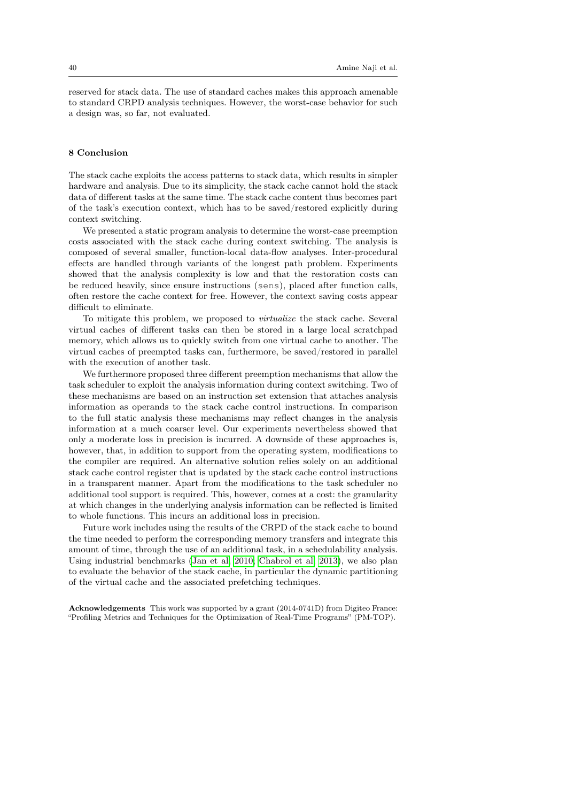reserved for stack data. The use of standard caches makes this approach amenable to standard CRPD analysis techniques. However, the worst-case behavior for such a design was, so far, not evaluated.

## 8 Conclusion

The stack cache exploits the access patterns to stack data, which results in simpler hardware and analysis. Due to its simplicity, the stack cache cannot hold the stack data of different tasks at the same time. The stack cache content thus becomes part of the task's execution context, which has to be saved/restored explicitly during context switching.

We presented a static program analysis to determine the worst-case preemption costs associated with the stack cache during context switching. The analysis is composed of several smaller, function-local data-flow analyses. Inter-procedural effects are handled through variants of the longest path problem. Experiments showed that the analysis complexity is low and that the restoration costs can be reduced heavily, since ensure instructions (sens), placed after function calls, often restore the cache context for free. However, the context saving costs appear difficult to eliminate.

To mitigate this problem, we proposed to virtualize the stack cache. Several virtual caches of different tasks can then be stored in a large local scratchpad memory, which allows us to quickly switch from one virtual cache to another. The virtual caches of preempted tasks can, furthermore, be saved/restored in parallel with the execution of another task.

We furthermore proposed three different preemption mechanisms that allow the task scheduler to exploit the analysis information during context switching. Two of these mechanisms are based on an instruction set extension that attaches analysis information as operands to the stack cache control instructions. In comparison to the full static analysis these mechanisms may reflect changes in the analysis information at a much coarser level. Our experiments nevertheless showed that only a moderate loss in precision is incurred. A downside of these approaches is, however, that, in addition to support from the operating system, modifications to the compiler are required. An alternative solution relies solely on an additional stack cache control register that is updated by the stack cache control instructions in a transparent manner. Apart from the modifications to the task scheduler no additional tool support is required. This, however, comes at a cost: the granularity at which changes in the underlying analysis information can be reflected is limited to whole functions. This incurs an additional loss in precision.

Future work includes using the results of the CRPD of the stack cache to bound the time needed to perform the corresponding memory transfers and integrate this amount of time, through the use of an additional task, in a schedulability analysis. Using industrial benchmarks [\(Jan et al, 2010;](#page-40-15) [Chabrol et al, 2013\)](#page-40-16), we also plan to evaluate the behavior of the stack cache, in particular the dynamic partitioning of the virtual cache and the associated prefetching techniques.

Acknowledgements This work was supported by a grant (2014-0741D) from Digiteo France: "Profiling Metrics and Techniques for the Optimization of Real-Time Programs" (PM-TOP).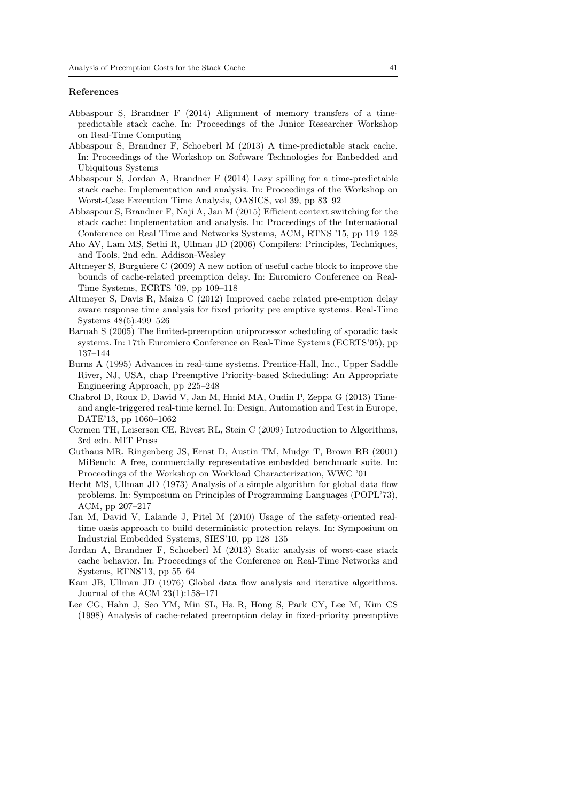#### References

- <span id="page-40-3"></span>Abbaspour S, Brandner F (2014) Alignment of memory transfers of a timepredictable stack cache. In: Proceedings of the Junior Researcher Workshop on Real-Time Computing
- <span id="page-40-1"></span>Abbaspour S, Brandner F, Schoeberl M (2013) A time-predictable stack cache. In: Proceedings of the Workshop on Software Technologies for Embedded and Ubiquitous Systems
- <span id="page-40-2"></span>Abbaspour S, Jordan A, Brandner F (2014) Lazy spilling for a time-predictable stack cache: Implementation and analysis. In: Proceedings of the Workshop on Worst-Case Execution Time Analysis, OASICS, vol 39, pp 83–92
- <span id="page-40-0"></span>Abbaspour S, Brandner F, Naji A, Jan M (2015) Efficient context switching for the stack cache: Implementation and analysis. In: Proceedings of the International Conference on Real Time and Networks Systems, ACM, RTNS '15, pp 119–128
- <span id="page-40-6"></span>Aho AV, Lam MS, Sethi R, Ullman JD (2006) Compilers: Principles, Techniques, and Tools, 2nd edn. Addison-Wesley
- <span id="page-40-14"></span>Altmeyer S, Burguiere C (2009) A new notion of useful cache block to improve the bounds of cache-related preemption delay. In: Euromicro Conference on Real-Time Systems, ECRTS '09, pp 109–118
- <span id="page-40-12"></span>Altmeyer S, Davis R, Maiza C (2012) Improved cache related pre-emption delay aware response time analysis for fixed priority pre emptive systems. Real-Time Systems 48(5):499–526
- <span id="page-40-11"></span>Baruah S (2005) The limited-preemption uniprocessor scheduling of sporadic task systems. In: 17th Euromicro Conference on Real-Time Systems (ECRTS'05), pp 137–144
- <span id="page-40-10"></span>Burns A (1995) Advances in real-time systems. Prentice-Hall, Inc., Upper Saddle River, NJ, USA, chap Preemptive Priority-based Scheduling: An Appropriate Engineering Approach, pp 225–248
- <span id="page-40-16"></span>Chabrol D, Roux D, David V, Jan M, Hmid MA, Oudin P, Zeppa G (2013) Timeand angle-triggered real-time kernel. In: Design, Automation and Test in Europe, DATE'13, pp 1060–1062
- <span id="page-40-7"></span>Cormen TH, Leiserson CE, Rivest RL, Stein C (2009) Introduction to Algorithms, 3rd edn. MIT Press
- <span id="page-40-13"></span>Guthaus MR, Ringenberg JS, Ernst D, Austin TM, Mudge T, Brown RB (2001) MiBench: A free, commercially representative embedded benchmark suite. In: Proceedings of the Workshop on Workload Characterization, WWC '01
- <span id="page-40-8"></span>Hecht MS, Ullman JD (1973) Analysis of a simple algorithm for global data flow problems. In: Symposium on Principles of Programming Languages (POPL'73), ACM, pp 207–217
- <span id="page-40-15"></span>Jan M, David V, Lalande J, Pitel M (2010) Usage of the safety-oriented realtime oasis approach to build deterministic protection relays. In: Symposium on Industrial Embedded Systems, SIES'10, pp 128–135
- <span id="page-40-4"></span>Jordan A, Brandner F, Schoeberl M (2013) Static analysis of worst-case stack cache behavior. In: Proceedings of the Conference on Real-Time Networks and Systems, RTNS'13, pp 55–64
- <span id="page-40-9"></span>Kam JB, Ullman JD (1976) Global data flow analysis and iterative algorithms. Journal of the ACM 23(1):158–171
- <span id="page-40-5"></span>Lee CG, Hahn J, Seo YM, Min SL, Ha R, Hong S, Park CY, Lee M, Kim CS (1998) Analysis of cache-related preemption delay in fixed-priority preemptive